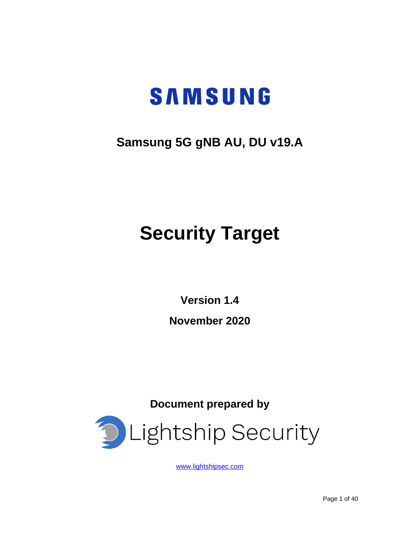# **SAMSUNG**

# **Samsung 5G gNB AU, DU v19.A**

# **Security Target**

**Version 1.4**

**November 2020**

**Document prepared by**



[www.lightshipsec.com](https://lightshipsec.com/)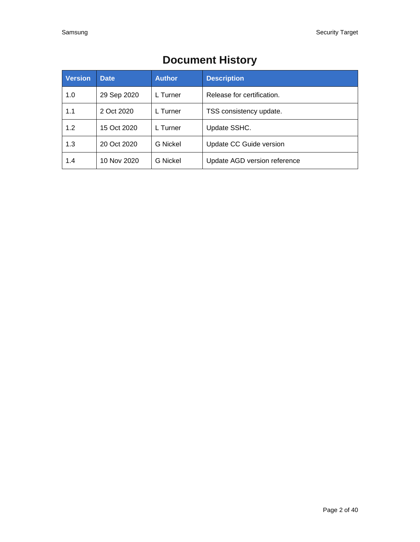| <b>Version</b> | <b>Date</b> | <b>Author</b>   | <b>Description</b>           |
|----------------|-------------|-----------------|------------------------------|
| 1.0            | 29 Sep 2020 | L Turner        | Release for certification.   |
| 1.1            | 2 Oct 2020  | L Turner        | TSS consistency update.      |
| 1.2            | 15 Oct 2020 | L Turner        | Update SSHC.                 |
| 1.3            | 20 Oct 2020 | G Nickel        | Update CC Guide version      |
| 1.4            | 10 Nov 2020 | <b>G</b> Nickel | Update AGD version reference |

# **Document History**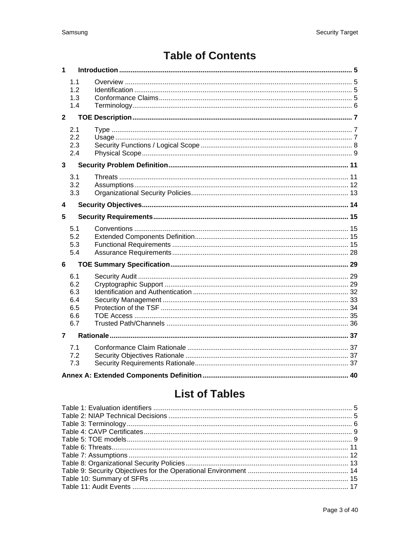# **Table of Contents**

| 1              |                                               |  |  |
|----------------|-----------------------------------------------|--|--|
|                | 1.1<br>1.2<br>1.3<br>1.4                      |  |  |
| $\overline{2}$ |                                               |  |  |
|                | 2.1<br>2.2<br>2.3<br>2.4                      |  |  |
| $\overline{3}$ |                                               |  |  |
|                | 3.1<br>3.2<br>3.3                             |  |  |
| 4              |                                               |  |  |
| 5              |                                               |  |  |
|                | 5.1<br>5.2<br>5.3<br>5.4                      |  |  |
| 6              |                                               |  |  |
|                |                                               |  |  |
|                | 6.1<br>6.2<br>6.3<br>6.4<br>6.5<br>6.6<br>6.7 |  |  |
| $\overline{7}$ |                                               |  |  |
|                | 7.1<br>7.2<br>7.3                             |  |  |

# **List of Tables**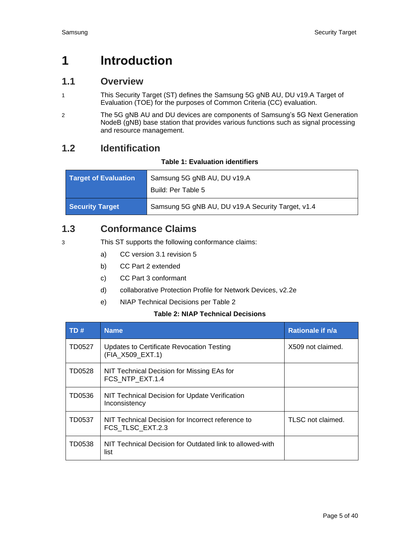# <span id="page-4-0"></span>**1 Introduction**

# <span id="page-4-1"></span>**1.1 Overview**

- 1 This Security Target (ST) defines the Samsung 5G gNB AU, DU v19.A Target of Evaluation (TOE) for the purposes of Common Criteria (CC) evaluation.
- 2 The 5G gNB AU and DU devices are components of Samsung's 5G Next Generation NodeB (gNB) base station that provides various functions such as signal processing and resource management.

# <span id="page-4-4"></span><span id="page-4-2"></span>**1.2 Identification**

#### **Table 1: Evaluation identifiers**

| <b>Target of Evaluation</b> | Samsung 5G gNB AU, DU v19.A                       |  |
|-----------------------------|---------------------------------------------------|--|
|                             | Build: Per Table 5                                |  |
| <b>Security Target</b>      | Samsung 5G gNB AU, DU v19.A Security Target, v1.4 |  |

# <span id="page-4-3"></span>**1.3 Conformance Claims**

3 This ST supports the following conformance claims:

- a) CC version 3.1 revision 5
- b) CC Part 2 extended
- c) CC Part 3 conformant
- d) collaborative Protection Profile for Network Devices, v2.2e
- e) NIAP Technical Decisions per [Table 2](#page-4-5)

#### **Table 2: NIAP Technical Decisions**

<span id="page-4-5"></span>

| TD#    | <b>Name</b>                                                           | Rationale if n/a  |
|--------|-----------------------------------------------------------------------|-------------------|
| TD0527 | Updates to Certificate Revocation Testing<br>(FIA_X509_EXT.1)         | X509 not claimed. |
| TD0528 | NIT Technical Decision for Missing EAs for<br>FCS NTP EXT.1.4         |                   |
| TD0536 | NIT Technical Decision for Update Verification<br>Inconsistency       |                   |
| TD0537 | NIT Technical Decision for Incorrect reference to<br>FCS TLSC EXT.2.3 | TLSC not claimed. |
| TD0538 | NIT Technical Decision for Outdated link to allowed-with<br>list      |                   |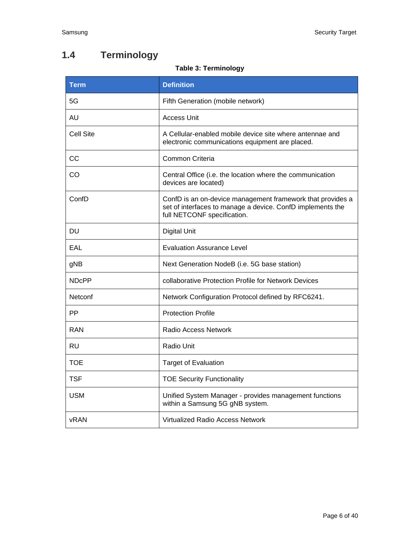# <span id="page-5-1"></span><span id="page-5-0"></span>**1.4 Terminology**

# **Table 3: Terminology**

| <b>Term</b>  | <b>Definition</b>                                                                                                                                       |  |
|--------------|---------------------------------------------------------------------------------------------------------------------------------------------------------|--|
| 5G           | Fifth Generation (mobile network)                                                                                                                       |  |
| <b>AU</b>    | <b>Access Unit</b>                                                                                                                                      |  |
| Cell Site    | A Cellular-enabled mobile device site where antennae and<br>electronic communications equipment are placed.                                             |  |
| CC           | Common Criteria                                                                                                                                         |  |
| CO           | Central Office (i.e. the location where the communication<br>devices are located)                                                                       |  |
| ConfD        | ConfD is an on-device management framework that provides a<br>set of interfaces to manage a device. ConfD implements the<br>full NETCONF specification. |  |
| DU           | <b>Digital Unit</b>                                                                                                                                     |  |
| EAL          | <b>Evaluation Assurance Level</b>                                                                                                                       |  |
| gNB          | Next Generation NodeB (i.e. 5G base station)                                                                                                            |  |
| <b>NDcPP</b> | collaborative Protection Profile for Network Devices                                                                                                    |  |
| Netconf      | Network Configuration Protocol defined by RFC6241.                                                                                                      |  |
| РP           | <b>Protection Profile</b>                                                                                                                               |  |
| RAN          | <b>Radio Access Network</b>                                                                                                                             |  |
| <b>RU</b>    | Radio Unit                                                                                                                                              |  |
| TOE          | <b>Target of Evaluation</b>                                                                                                                             |  |
| <b>TSF</b>   | <b>TOE Security Functionality</b>                                                                                                                       |  |
| <b>USM</b>   | Unified System Manager - provides management functions<br>within a Samsung 5G gNB system.                                                               |  |
| <b>vRAN</b>  | Virtualized Radio Access Network                                                                                                                        |  |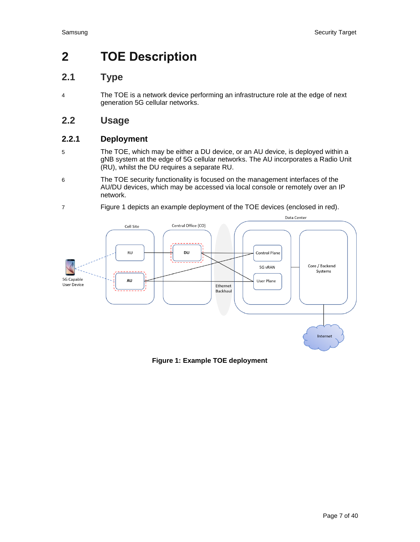# <span id="page-6-0"></span>**2 TOE Description**

# <span id="page-6-1"></span>**2.1 Type**

4 The TOE is a network device performing an infrastructure role at the edge of next generation 5G cellular networks.

# <span id="page-6-2"></span>**2.2 Usage**

# **2.2.1 Deployment**

- 5 The TOE, which may be either a DU device, or an AU device, is deployed within a gNB system at the edge of 5G cellular networks. The AU incorporates a Radio Unit (RU), whilst the DU requires a separate RU.
- 6 The TOE security functionality is focused on the management interfaces of the AU/DU devices, which may be accessed via local console or remotely over an IP network.
- 7 [Figure 1](#page-6-3) depicts an example deployment of the TOE devices (enclosed in red).



<span id="page-6-3"></span>**Figure 1: Example TOE deployment**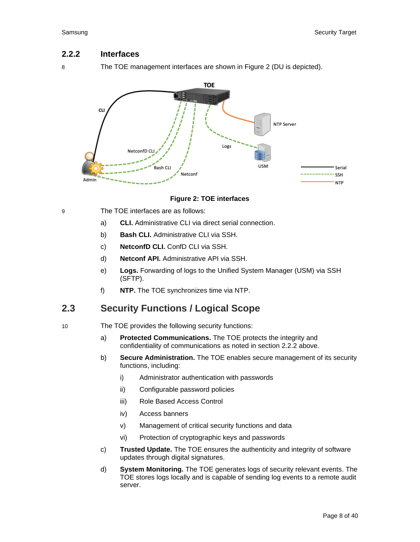### <span id="page-7-2"></span>**2.2.2 Interfaces**

8 The TOE management interfaces are shown in [Figure 2](#page-7-1) (DU is depicted).



#### **Figure 2: TOE interfaces**

- <span id="page-7-1"></span>9 The TOE interfaces are as follows:
	- a) **CLI.** Administrative CLI via direct serial connection.
	- b) **Bash CLI.** Administrative CLI via SSH.
	- c) **NetconfD CLI.** ConfD CLI via SSH.
	- d) **Netconf API.** Administrative API via SSH.
	- e) **Logs.** Forwarding of logs to the Unified System Manager (USM) via SSH (SFTP).
	- f) **NTP.** The TOE synchronizes time via NTP.

# <span id="page-7-0"></span>**2.3 Security Functions / Logical Scope**

10 The TOE provides the following security functions:

- a) **Protected Communications.** The TOE protects the integrity and confidentiality of communications as noted in section [2.2.2](#page-7-2) above.
- b) **Secure Administration.** The TOE enables secure management of its security functions, including:
	- i) Administrator authentication with passwords
	- ii) Configurable password policies
	- iii) Role Based Access Control
	- iv) Access banners
	- v) Management of critical security functions and data
	- vi) Protection of cryptographic keys and passwords
- c) **Trusted Update.** The TOE ensures the authenticity and integrity of software updates through digital signatures.
- d) **System Monitoring.** The TOE generates logs of security relevant events. The TOE stores logs locally and is capable of sending log events to a remote audit server.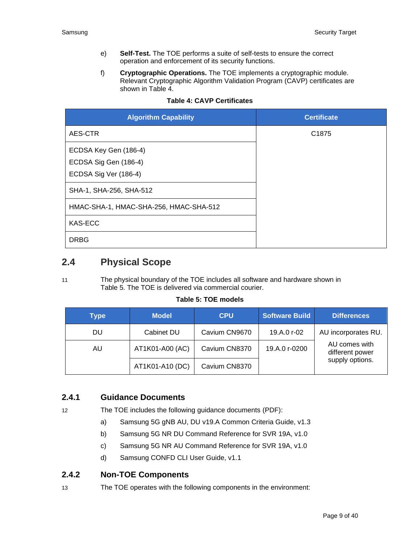- e) **Self-Test.** The TOE performs a suite of self-tests to ensure the correct operation and enforcement of its security functions.
- f) **Cryptographic Operations.** The TOE implements a cryptographic module. Relevant Cryptographic Algorithm Validation Program (CAVP) certificates are shown in [Table 4.](#page-8-1)

<span id="page-8-1"></span>

| <b>Algorithm Capability</b>            | <b>Certificate</b> |
|----------------------------------------|--------------------|
| AES-CTR                                | C <sub>1875</sub>  |
| ECDSA Key Gen (186-4)                  |                    |
| ECDSA Sig Gen (186-4)                  |                    |
| ECDSA Sig Ver (186-4)                  |                    |
| SHA-1, SHA-256, SHA-512                |                    |
| HMAC-SHA-1, HMAC-SHA-256, HMAC-SHA-512 |                    |
| KAS-ECC                                |                    |
| <b>DRBG</b>                            |                    |

#### **Table 4: CAVP Certificates**

# <span id="page-8-0"></span>**2.4 Physical Scope**

11 The physical boundary of the TOE includes all software and hardware shown in [Table 5.](#page-8-2) The TOE is delivered via commercial courier.

#### **Table 5: TOE models**

<span id="page-8-2"></span>

| <b>Type</b> | <b>Model</b>    | <b>CPU</b>    | <b>Software Build</b> | <b>Differences</b>               |
|-------------|-----------------|---------------|-----------------------|----------------------------------|
| <b>DU</b>   | Cabinet DU      | Cavium CN9670 | 19.A.0 r-02           | AU incorporates RU.              |
| AU          | AT1K01-A00 (AC) | Cavium CN8370 | 19.A.0 r-0200         | AU comes with<br>different power |
|             | AT1K01-A10 (DC) | Cavium CN8370 |                       | supply options.                  |

# **2.4.1 Guidance Documents**

12 The TOE includes the following guidance documents (PDF):

- a) Samsung 5G gNB AU, DU v19.A Common Criteria Guide, v1.3
- b) Samsung 5G NR DU Command Reference for SVR 19A, v1.0
- c) Samsung 5G NR AU Command Reference for SVR 19A, v1.0
- d) Samsung CONFD CLI User Guide, v1.1

#### **2.4.2 Non-TOE Components**

13 The TOE operates with the following components in the environment: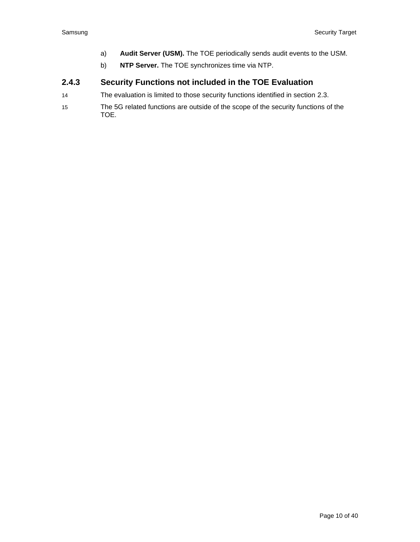- a) **Audit Server (USM).** The TOE periodically sends audit events to the USM.
- b) **NTP Server.** The TOE synchronizes time via NTP.

### **2.4.3 Security Functions not included in the TOE Evaluation**

- 14 The evaluation is limited to those security functions identified in section [2.3.](#page-7-0)
- 15 The 5G related functions are outside of the scope of the security functions of the TOE.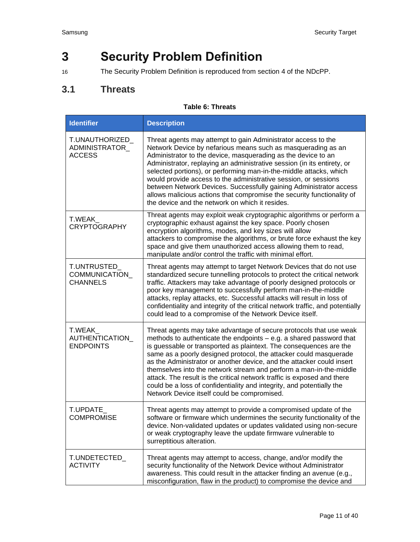# <span id="page-10-0"></span>**3 Security Problem Definition**

16 The Security Problem Definition is reproduced from section 4 of the NDcPP.

# <span id="page-10-1"></span>**3.1 Threats**

#### **Table 6: Threats**

<span id="page-10-2"></span>

| <b>Identifier</b>                                | <b>Description</b>                                                                                                                                                                                                                                                                                                                                                                                                                                                                                                                                                                                                                     |
|--------------------------------------------------|----------------------------------------------------------------------------------------------------------------------------------------------------------------------------------------------------------------------------------------------------------------------------------------------------------------------------------------------------------------------------------------------------------------------------------------------------------------------------------------------------------------------------------------------------------------------------------------------------------------------------------------|
| T.UNAUTHORIZED<br>ADMINISTRATOR<br><b>ACCESS</b> | Threat agents may attempt to gain Administrator access to the<br>Network Device by nefarious means such as masquerading as an<br>Administrator to the device, masquerading as the device to an<br>Administrator, replaying an administrative session (in its entirety, or<br>selected portions), or performing man-in-the-middle attacks, which<br>would provide access to the administrative session, or sessions<br>between Network Devices. Successfully gaining Administrator access<br>allows malicious actions that compromise the security functionality of<br>the device and the network on which it resides.                  |
| T.WEAK<br><b>CRYPTOGRAPHY</b>                    | Threat agents may exploit weak cryptographic algorithms or perform a<br>cryptographic exhaust against the key space. Poorly chosen<br>encryption algorithms, modes, and key sizes will allow<br>attackers to compromise the algorithms, or brute force exhaust the key<br>space and give them unauthorized access allowing them to read,<br>manipulate and/or control the traffic with minimal effort.                                                                                                                                                                                                                                 |
| T.UNTRUSTED_<br>COMMUNICATION<br><b>CHANNELS</b> | Threat agents may attempt to target Network Devices that do not use<br>standardized secure tunnelling protocols to protect the critical network<br>traffic. Attackers may take advantage of poorly designed protocols or<br>poor key management to successfully perform man-in-the-middle<br>attacks, replay attacks, etc. Successful attacks will result in loss of<br>confidentiality and integrity of the critical network traffic, and potentially<br>could lead to a compromise of the Network Device itself.                                                                                                                     |
| T.WEAK<br>AUTHENTICATION<br><b>ENDPOINTS</b>     | Threat agents may take advantage of secure protocols that use weak<br>methods to authenticate the endpoints - e.g. a shared password that<br>is guessable or transported as plaintext. The consequences are the<br>same as a poorly designed protocol, the attacker could masquerade<br>as the Administrator or another device, and the attacker could insert<br>themselves into the network stream and perform a man-in-the-middle<br>attack. The result is the critical network traffic is exposed and there<br>could be a loss of confidentiality and integrity, and potentially the<br>Network Device itself could be compromised. |
| T.UPDATE<br><b>COMPROMISE</b>                    | Threat agents may attempt to provide a compromised update of the<br>software or firmware which undermines the security functionality of the<br>device. Non-validated updates or updates validated using non-secure<br>or weak cryptography leave the update firmware vulnerable to<br>surreptitious alteration.                                                                                                                                                                                                                                                                                                                        |
| T.UNDETECTED_<br><b>ACTIVITY</b>                 | Threat agents may attempt to access, change, and/or modify the<br>security functionality of the Network Device without Administrator<br>awareness. This could result in the attacker finding an avenue (e.g.,<br>misconfiguration, flaw in the product) to compromise the device and                                                                                                                                                                                                                                                                                                                                                   |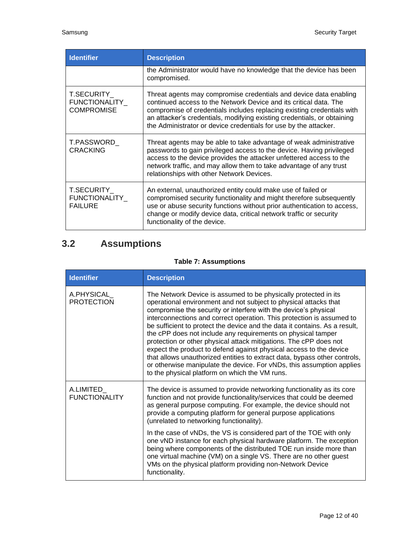| <b>Identifier</b>                                              | <b>Description</b>                                                                                                                                                                                                                                                                                                                                              |
|----------------------------------------------------------------|-----------------------------------------------------------------------------------------------------------------------------------------------------------------------------------------------------------------------------------------------------------------------------------------------------------------------------------------------------------------|
|                                                                | the Administrator would have no knowledge that the device has been<br>compromised.                                                                                                                                                                                                                                                                              |
| <b>T.SECURITY</b><br><b>FUNCTIONALITY</b><br><b>COMPROMISE</b> | Threat agents may compromise credentials and device data enabling<br>continued access to the Network Device and its critical data. The<br>compromise of credentials includes replacing existing credentials with<br>an attacker's credentials, modifying existing credentials, or obtaining<br>the Administrator or device credentials for use by the attacker. |
| T.PASSWORD<br><b>CRACKING</b>                                  | Threat agents may be able to take advantage of weak administrative<br>passwords to gain privileged access to the device. Having privileged<br>access to the device provides the attacker unfettered access to the<br>network traffic, and may allow them to take advantage of any trust<br>relationships with other Network Devices.                            |
| <b>T.SECURITY</b><br><b>FUNCTIONALITY</b><br><b>FAILURE</b>    | An external, unauthorized entity could make use of failed or<br>compromised security functionality and might therefore subsequently<br>use or abuse security functions without prior authentication to access,<br>change or modify device data, critical network traffic or security<br>functionality of the device.                                            |

# <span id="page-11-0"></span>**3.2 Assumptions**

# **Table 7: Assumptions**

<span id="page-11-1"></span>

| <b>Identifier</b>                 | <b>Description</b>                                                                                                                                                                                                                                                                                                                                                                                                                                                                                                                                                                                                                                                                                                                                                               |
|-----------------------------------|----------------------------------------------------------------------------------------------------------------------------------------------------------------------------------------------------------------------------------------------------------------------------------------------------------------------------------------------------------------------------------------------------------------------------------------------------------------------------------------------------------------------------------------------------------------------------------------------------------------------------------------------------------------------------------------------------------------------------------------------------------------------------------|
| A.PHYSICAL<br><b>PROTECTION</b>   | The Network Device is assumed to be physically protected in its<br>operational environment and not subject to physical attacks that<br>compromise the security or interfere with the device's physical<br>interconnections and correct operation. This protection is assumed to<br>be sufficient to protect the device and the data it contains. As a result,<br>the cPP does not include any requirements on physical tamper<br>protection or other physical attack mitigations. The cPP does not<br>expect the product to defend against physical access to the device<br>that allows unauthorized entities to extract data, bypass other controls,<br>or otherwise manipulate the device. For vNDs, this assumption applies<br>to the physical platform on which the VM runs. |
| A.LIMITED<br><b>FUNCTIONALITY</b> | The device is assumed to provide networking functionality as its core<br>function and not provide functionality/services that could be deemed<br>as general purpose computing. For example, the device should not<br>provide a computing platform for general purpose applications<br>(unrelated to networking functionality).                                                                                                                                                                                                                                                                                                                                                                                                                                                   |
|                                   | In the case of vNDs, the VS is considered part of the TOE with only<br>one vND instance for each physical hardware platform. The exception<br>being where components of the distributed TOE run inside more than<br>one virtual machine (VM) on a single VS. There are no other guest<br>VMs on the physical platform providing non-Network Device<br>functionality.                                                                                                                                                                                                                                                                                                                                                                                                             |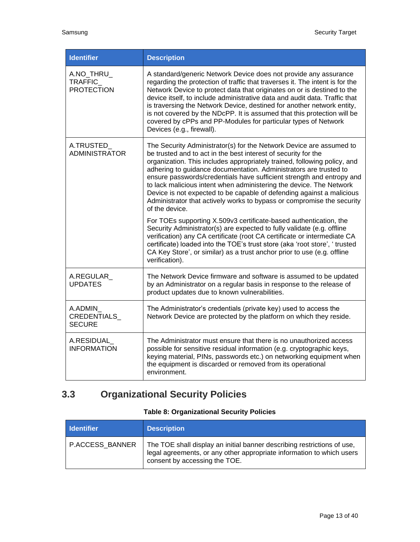| <b>Identifier</b>                          | <b>Description</b>                                                                                                                                                                                                                                                                                                                                                                                                                                                                                                                                                                                          |  |
|--------------------------------------------|-------------------------------------------------------------------------------------------------------------------------------------------------------------------------------------------------------------------------------------------------------------------------------------------------------------------------------------------------------------------------------------------------------------------------------------------------------------------------------------------------------------------------------------------------------------------------------------------------------------|--|
| A.NO_THRU_<br>TRAFFIC<br><b>PROTECTION</b> | A standard/generic Network Device does not provide any assurance<br>regarding the protection of traffic that traverses it. The intent is for the<br>Network Device to protect data that originates on or is destined to the<br>device itself, to include administrative data and audit data. Traffic that<br>is traversing the Network Device, destined for another network entity,<br>is not covered by the NDcPP. It is assumed that this protection will be<br>covered by cPPs and PP-Modules for particular types of Network<br>Devices (e.g., firewall).                                               |  |
| A.TRUSTED_<br><b>ADMINISTRATOR</b>         | The Security Administrator(s) for the Network Device are assumed to<br>be trusted and to act in the best interest of security for the<br>organization. This includes appropriately trained, following policy, and<br>adhering to guidance documentation. Administrators are trusted to<br>ensure passwords/credentials have sufficient strength and entropy and<br>to lack malicious intent when administering the device. The Network<br>Device is not expected to be capable of defending against a malicious<br>Administrator that actively works to bypass or compromise the security<br>of the device. |  |
|                                            | For TOEs supporting X.509v3 certificate-based authentication, the<br>Security Administrator(s) are expected to fully validate (e.g. offline<br>verification) any CA certificate (root CA certificate or intermediate CA<br>certificate) loaded into the TOE's trust store (aka 'root store', ' trusted<br>CA Key Store', or similar) as a trust anchor prior to use (e.g. offline<br>verification).                                                                                                                                                                                                         |  |
| A.REGULAR_<br><b>UPDATES</b>               | The Network Device firmware and software is assumed to be updated<br>by an Administrator on a regular basis in response to the release of<br>product updates due to known vulnerabilities.                                                                                                                                                                                                                                                                                                                                                                                                                  |  |
| A.ADMIN<br>CREDENTIALS<br><b>SECURE</b>    | The Administrator's credentials (private key) used to access the<br>Network Device are protected by the platform on which they reside.                                                                                                                                                                                                                                                                                                                                                                                                                                                                      |  |
| A.RESIDUAL<br><b>INFORMATION</b>           | The Administrator must ensure that there is no unauthorized access<br>possible for sensitive residual information (e.g. cryptographic keys,<br>keying material, PINs, passwords etc.) on networking equipment when<br>the equipment is discarded or removed from its operational<br>environment.                                                                                                                                                                                                                                                                                                            |  |

# <span id="page-12-0"></span>**3.3 Organizational Security Policies**

# **Table 8: Organizational Security Policies**

<span id="page-12-1"></span>

| <b>I</b> Identifier | <b>Description</b>                                                                                                                                                                |
|---------------------|-----------------------------------------------------------------------------------------------------------------------------------------------------------------------------------|
| P.ACCESS BANNER     | The TOE shall display an initial banner describing restrictions of use,<br>legal agreements, or any other appropriate information to which users<br>consent by accessing the TOE. |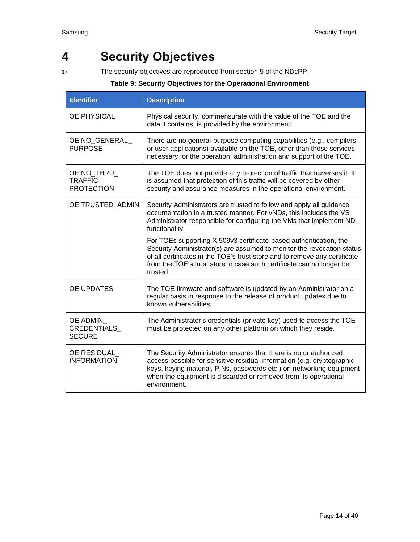# <span id="page-13-0"></span>**4 Security Objectives**

17 The security objectives are reproduced from section 5 of the NDcPP.

#### **Table 9: Security Objectives for the Operational Environment**

| <b>Identifier</b>                          | <b>Description</b>                                                                                                                                                                                                                                                                                            |  |  |  |
|--------------------------------------------|---------------------------------------------------------------------------------------------------------------------------------------------------------------------------------------------------------------------------------------------------------------------------------------------------------------|--|--|--|
| OE PHYSICAL                                | Physical security, commensurate with the value of the TOE and the<br>data it contains, is provided by the environment.                                                                                                                                                                                        |  |  |  |
| OE.NO_GENERAL_<br><b>PURPOSE</b>           | There are no general-purpose computing capabilities (e.g., compilers<br>or user applications) available on the TOE, other than those services<br>necessary for the operation, administration and support of the TOE.                                                                                          |  |  |  |
| OE.NO THRU<br>TRAFFIC<br><b>PROTECTION</b> | The TOE does not provide any protection of traffic that traverses it. It<br>is assumed that protection of this traffic will be covered by other<br>security and assurance measures in the operational environment.                                                                                            |  |  |  |
| OE.TRUSTED ADMIN                           | Security Administrators are trusted to follow and apply all guidance<br>documentation in a trusted manner. For vNDs, this includes the VS<br>Administrator responsible for configuring the VMs that implement ND<br>functionality.                                                                            |  |  |  |
|                                            | For TOEs supporting X.509v3 certificate-based authentication, the<br>Security Administrator(s) are assumed to monitor the revocation status<br>of all certificates in the TOE's trust store and to remove any certificate<br>from the TOE's trust store in case such certificate can no longer be<br>trusted. |  |  |  |
| OE.UPDATES                                 | The TOE firmware and software is updated by an Administrator on a<br>regular basis in response to the release of product updates due to<br>known vulnerabilities.                                                                                                                                             |  |  |  |
| OE.ADMIN<br>CREDENTIALS<br><b>SECURE</b>   | The Administrator's credentials (private key) used to access the TOE<br>must be protected on any other platform on which they reside.                                                                                                                                                                         |  |  |  |
| OE.RESIDUAL<br><b>INFORMATION</b>          | The Security Administrator ensures that there is no unauthorized<br>access possible for sensitive residual information (e.g. cryptographic<br>keys, keying material, PINs, passwords etc.) on networking equipment<br>when the equipment is discarded or removed from its operational<br>environment.         |  |  |  |

<span id="page-13-1"></span>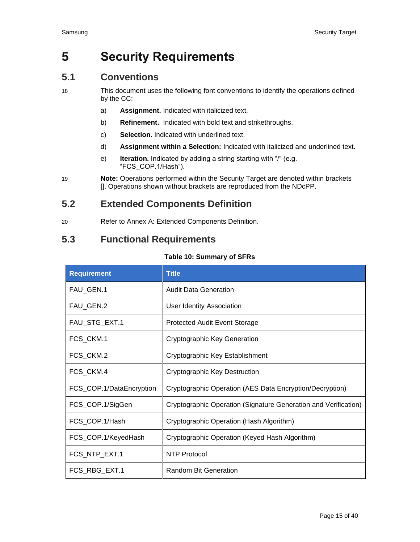# <span id="page-14-0"></span>**5 Security Requirements**

# <span id="page-14-1"></span>**5.1 Conventions**

- 18 This document uses the following font conventions to identify the operations defined by the CC:
	- a) **Assignment.** Indicated with italicized text.
	- b) **Refinement.** Indicated with bold text and strikethroughs.
	- c) **Selection.** Indicated with underlined text.
	- d) **Assignment within a Selection:** Indicated with italicized and underlined text.
	- e) **Iteration.** Indicated by adding a string starting with "/" (e.g. "FCS\_COP.1/Hash").
- 19 **Note:** Operations performed within the Security Target are denoted within brackets []. Operations shown without brackets are reproduced from the NDcPP.

# <span id="page-14-2"></span>**5.2 Extended Components Definition**

20 Refer to [Annex A: Extended Components Definition.](#page-39-0)

# <span id="page-14-3"></span>**5.3 Functional Requirements**

#### **Table 10: Summary of SFRs**

<span id="page-14-4"></span>

| <b>Requirement</b>       | <b>Title</b>                                                    |  |
|--------------------------|-----------------------------------------------------------------|--|
| FAU_GEN.1                | <b>Audit Data Generation</b>                                    |  |
| FAU_GEN.2                | <b>User Identity Association</b>                                |  |
| FAU_STG_EXT.1            | <b>Protected Audit Event Storage</b>                            |  |
| FCS_CKM.1                | Cryptographic Key Generation                                    |  |
| FCS_CKM.2                | Cryptographic Key Establishment                                 |  |
| FCS_CKM.4                | Cryptographic Key Destruction                                   |  |
| FCS_COP.1/DataEncryption | Cryptographic Operation (AES Data Encryption/Decryption)        |  |
| FCS_COP.1/SigGen         | Cryptographic Operation (Signature Generation and Verification) |  |
| FCS_COP.1/Hash           | Cryptographic Operation (Hash Algorithm)                        |  |
| FCS_COP.1/KeyedHash      | Cryptographic Operation (Keyed Hash Algorithm)                  |  |
| FCS_NTP_EXT.1            | <b>NTP Protocol</b>                                             |  |
| FCS_RBG_EXT.1            | Random Bit Generation                                           |  |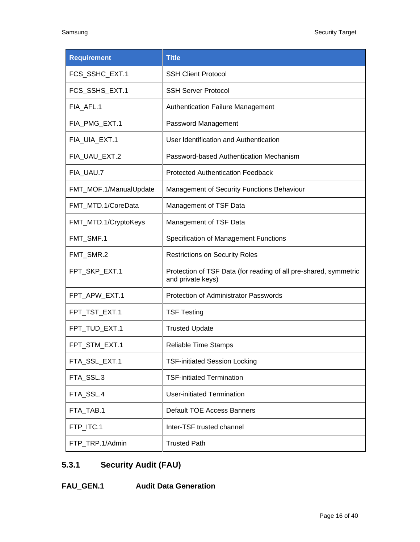| <b>Requirement</b>     | <b>Title</b>                                                                          |  |
|------------------------|---------------------------------------------------------------------------------------|--|
| FCS_SSHC_EXT.1         | <b>SSH Client Protocol</b>                                                            |  |
| FCS_SSHS_EXT.1         | <b>SSH Server Protocol</b>                                                            |  |
| FIA AFL.1              | <b>Authentication Failure Management</b>                                              |  |
| FIA_PMG_EXT.1          | Password Management                                                                   |  |
| FIA_UIA_EXT.1          | User Identification and Authentication                                                |  |
| FIA_UAU_EXT.2          | Password-based Authentication Mechanism                                               |  |
| FIA_UAU.7              | <b>Protected Authentication Feedback</b>                                              |  |
| FMT_MOF.1/ManualUpdate | <b>Management of Security Functions Behaviour</b>                                     |  |
| FMT_MTD.1/CoreData     | Management of TSF Data                                                                |  |
| FMT_MTD.1/CryptoKeys   | Management of TSF Data                                                                |  |
| FMT_SMF.1              | Specification of Management Functions                                                 |  |
| FMT_SMR.2              | <b>Restrictions on Security Roles</b>                                                 |  |
| FPT_SKP_EXT.1          | Protection of TSF Data (for reading of all pre-shared, symmetric<br>and private keys) |  |
| FPT_APW_EXT.1          | Protection of Administrator Passwords                                                 |  |
| FPT_TST_EXT.1          | <b>TSF Testing</b>                                                                    |  |
| FPT_TUD_EXT.1          | <b>Trusted Update</b>                                                                 |  |
| FPT STM EXT.1          | <b>Reliable Time Stamps</b>                                                           |  |
| FTA_SSL_EXT.1          | <b>TSF-initiated Session Locking</b>                                                  |  |
| FTA_SSL.3              | <b>TSF-initiated Termination</b>                                                      |  |
| FTA_SSL.4              | <b>User-initiated Termination</b>                                                     |  |
| FTA_TAB.1              | <b>Default TOE Access Banners</b>                                                     |  |
| FTP_ITC.1              | Inter-TSF trusted channel                                                             |  |
| FTP_TRP.1/Admin        | <b>Trusted Path</b>                                                                   |  |

# **5.3.1 Security Audit (FAU)**

**FAU\_GEN.1 Audit Data Generation**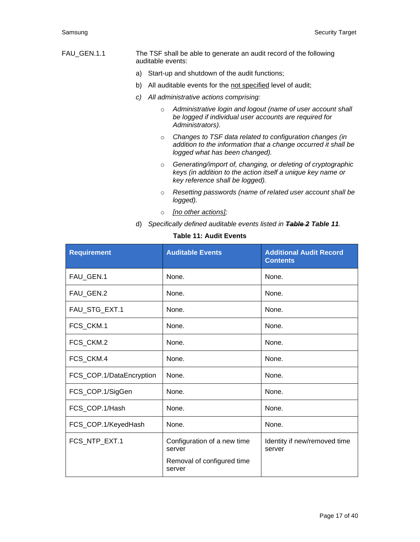- FAU\_GEN.1.1 The TSF shall be able to generate an audit record of the following auditable events:
	- a) Start-up and shutdown of the audit functions;
	- b) All auditable events for the not specified level of audit;
	- *c) All administrative actions comprising:*
		- o *Administrative login and logout (name of user account shall be logged if individual user accounts are required for Administrators).*
		- o *Changes to TSF data related to configuration changes (in addition to the information that a change occurred it shall be logged what has been changed).*
		- o *Generating/import of, changing, or deleting of cryptographic keys (in addition to the action itself a unique key name or key reference shall be logged).*
		- o *Resetting passwords (name of related user account shall be logged).*
		- o *[no other actions];*
	- d) *Specifically defined auditable events listed in Table 2 [Table 11](#page-16-0).*

#### **Table 11: Audit Events**

<span id="page-16-0"></span>

| <b>Requirement</b>       | <b>Auditable Events</b>                                                       | <b>Additional Audit Record</b><br><b>Contents</b> |
|--------------------------|-------------------------------------------------------------------------------|---------------------------------------------------|
| FAU_GEN.1                | None.                                                                         | None.                                             |
| FAU_GEN.2                | None.                                                                         | None.                                             |
| FAU_STG_EXT.1            | None.                                                                         | None.                                             |
| FCS_CKM.1                | None.                                                                         | None.                                             |
| FCS_CKM.2                | None.                                                                         | None.                                             |
| FCS_CKM.4                | None.                                                                         | None.                                             |
| FCS_COP.1/DataEncryption | None.                                                                         | None.                                             |
| FCS_COP.1/SigGen         | None.                                                                         | None.                                             |
| FCS_COP.1/Hash           | None.                                                                         | None.                                             |
| FCS_COP.1/KeyedHash      | None.                                                                         | None.                                             |
| FCS_NTP_EXT.1            | Configuration of a new time<br>server<br>Removal of configured time<br>server | Identity if new/removed time<br>server            |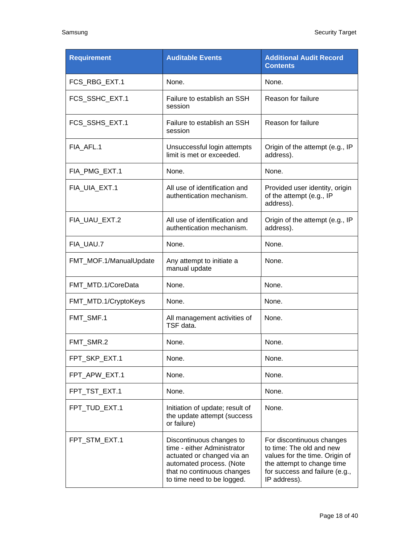| <b>Requirement</b>     | <b>Auditable Events</b>                                                                                                                                                       | <b>Additional Audit Record</b><br><b>Contents</b>                                                                                                                       |  |
|------------------------|-------------------------------------------------------------------------------------------------------------------------------------------------------------------------------|-------------------------------------------------------------------------------------------------------------------------------------------------------------------------|--|
| FCS_RBG_EXT.1          | None.                                                                                                                                                                         | None.                                                                                                                                                                   |  |
| FCS_SSHC_EXT.1         | Failure to establish an SSH<br>session                                                                                                                                        | Reason for failure                                                                                                                                                      |  |
| FCS_SSHS_EXT.1         | Failure to establish an SSH<br>session                                                                                                                                        | Reason for failure                                                                                                                                                      |  |
| FIA_AFL.1              | Unsuccessful login attempts<br>limit is met or exceeded.                                                                                                                      | Origin of the attempt (e.g., IP<br>address).                                                                                                                            |  |
| FIA_PMG_EXT.1          | None.                                                                                                                                                                         | None.                                                                                                                                                                   |  |
| FIA UIA EXT.1          | All use of identification and<br>authentication mechanism.                                                                                                                    | Provided user identity, origin<br>of the attempt (e.g., IP<br>address).                                                                                                 |  |
| FIA_UAU_EXT.2          | All use of identification and<br>authentication mechanism.                                                                                                                    | Origin of the attempt (e.g., IP<br>address).                                                                                                                            |  |
| FIA UAU.7              | None.                                                                                                                                                                         | None.                                                                                                                                                                   |  |
| FMT_MOF.1/ManualUpdate | Any attempt to initiate a<br>None.<br>manual update                                                                                                                           |                                                                                                                                                                         |  |
| FMT_MTD.1/CoreData     | None.<br>None.                                                                                                                                                                |                                                                                                                                                                         |  |
| FMT_MTD.1/CryptoKeys   | None.<br>None.                                                                                                                                                                |                                                                                                                                                                         |  |
| FMT_SMF.1              | All management activities of<br>TSF data.                                                                                                                                     | None.                                                                                                                                                                   |  |
| FMT_SMR.2              | None.                                                                                                                                                                         | None.                                                                                                                                                                   |  |
| FPT_SKP_EXT.1          | None.<br>None.                                                                                                                                                                |                                                                                                                                                                         |  |
| FPT_APW_EXT.1          | None.                                                                                                                                                                         | None.                                                                                                                                                                   |  |
| FPT_TST_EXT.1          | None.                                                                                                                                                                         | None.                                                                                                                                                                   |  |
| FPT_TUD_EXT.1          | None.<br>Initiation of update; result of<br>the update attempt (success<br>or failure)                                                                                        |                                                                                                                                                                         |  |
| FPT_STM_EXT.1          | Discontinuous changes to<br>time - either Administrator<br>actuated or changed via an<br>automated process. (Note<br>that no continuous changes<br>to time need to be logged. | For discontinuous changes<br>to time: The old and new<br>values for the time. Origin of<br>the attempt to change time<br>for success and failure (e.g.,<br>IP address). |  |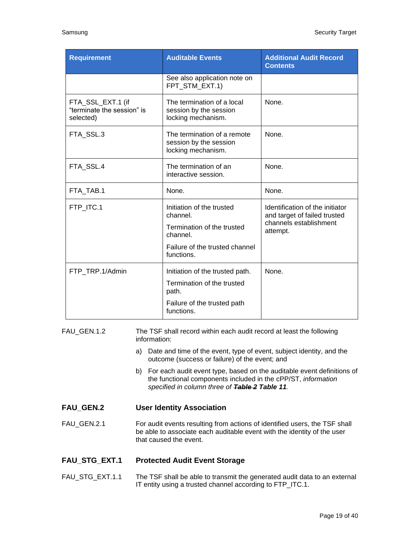| <b>Requirement</b>                                           |                                                                                                                                                                                 | <b>Auditable Events</b>                                                                                                                                                                                                                                                                                                                                                                     | <b>Additional Audit Record</b><br><b>Contents</b>                                                     |  |
|--------------------------------------------------------------|---------------------------------------------------------------------------------------------------------------------------------------------------------------------------------|---------------------------------------------------------------------------------------------------------------------------------------------------------------------------------------------------------------------------------------------------------------------------------------------------------------------------------------------------------------------------------------------|-------------------------------------------------------------------------------------------------------|--|
|                                                              |                                                                                                                                                                                 | See also application note on<br>FPT_STM_EXT.1)                                                                                                                                                                                                                                                                                                                                              |                                                                                                       |  |
| FTA_SSL_EXT.1 (if<br>"terminate the session" is<br>selected) |                                                                                                                                                                                 | The termination of a local<br>session by the session<br>locking mechanism.                                                                                                                                                                                                                                                                                                                  | None.                                                                                                 |  |
| FTA_SSL.3                                                    |                                                                                                                                                                                 | The termination of a remote<br>session by the session<br>locking mechanism.                                                                                                                                                                                                                                                                                                                 | None.                                                                                                 |  |
| FTA_SSL.4                                                    |                                                                                                                                                                                 | The termination of an<br>interactive session.                                                                                                                                                                                                                                                                                                                                               | None.                                                                                                 |  |
| FTA TAB.1                                                    |                                                                                                                                                                                 | None.                                                                                                                                                                                                                                                                                                                                                                                       | None.                                                                                                 |  |
| FTP_ITC.1                                                    |                                                                                                                                                                                 | Initiation of the trusted<br>channel.<br>Termination of the trusted<br>channel.<br>Failure of the trusted channel<br>functions.                                                                                                                                                                                                                                                             | Identification of the initiator<br>and target of failed trusted<br>channels establishment<br>attempt. |  |
| FTP_TRP.1/Admin                                              |                                                                                                                                                                                 | Initiation of the trusted path.<br>Termination of the trusted<br>path.<br>Failure of the trusted path<br>functions.                                                                                                                                                                                                                                                                         | None.                                                                                                 |  |
| FAU_GEN.1.2                                                  | information:<br>a)<br>b)                                                                                                                                                        | The TSF shall record within each audit record at least the following<br>Date and time of the event, type of event, subject identity, and the<br>outcome (success or failure) of the event; and<br>For each audit event type, based on the auditable event definitions of<br>the functional components included in the cPP/ST, information<br>specified in column three of Table 2 Table 11. |                                                                                                       |  |
| <b>FAU_GEN.2</b>                                             | <b>User Identity Association</b>                                                                                                                                                |                                                                                                                                                                                                                                                                                                                                                                                             |                                                                                                       |  |
| FAU_GEN.2.1                                                  | For audit events resulting from actions of identified users, the TSF shall<br>be able to associate each auditable event with the identity of the user<br>that caused the event. |                                                                                                                                                                                                                                                                                                                                                                                             |                                                                                                       |  |
| <b>FAU_STG_EXT.1</b>                                         |                                                                                                                                                                                 | <b>Protected Audit Event Storage</b>                                                                                                                                                                                                                                                                                                                                                        |                                                                                                       |  |
| FAU_STG_EXT.1.1                                              | The TSF shall be able to transmit the generated audit data to an external<br>IT entity using a trusted channel according to FTP_ITC.1.                                          |                                                                                                                                                                                                                                                                                                                                                                                             |                                                                                                       |  |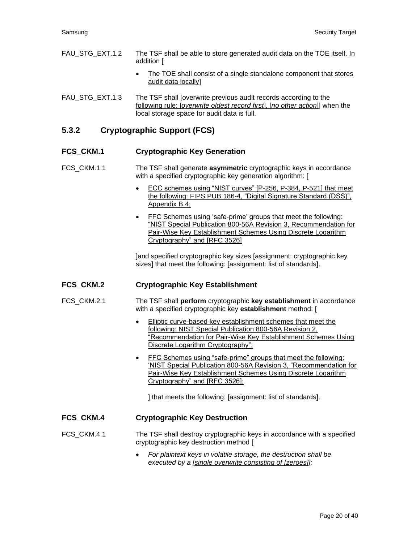- FAU\_STG\_EXT.1.2 The TSF shall be able to store generated audit data on the TOE itself. In addition [
	- The TOE shall consist of a single standalone component that stores audit data locally]
- FAU\_STG\_EXT.1.3 The TSF shall [overwrite previous audit records according to the following rule: [*overwrite oldest record first*], [*no other action*]] when the local storage space for audit data is full.

### **5.3.2 Cryptographic Support (FCS)**

#### **FCS\_CKM.1 Cryptographic Key Generation**

- FCS\_CKM.1.1 The TSF shall generate **asymmetric** cryptographic keys in accordance with a specified cryptographic key generation algorithm: [
	- ECC schemes using "NIST curves" [P-256, P-384, P-521] that meet the following: FIPS PUB 186-4, "Digital Signature Standard (DSS)", Appendix B.4;
	- FFC Schemes using 'safe-prime' groups that meet the following: "NIST Special Publication 800-56A Revision 3, Recommendation for Pair-Wise Key Establishment Schemes Using Discrete Logarithm Cryptography" and [RFC 3526]

]and specified cryptographic key sizes [assignment: cryptographic key sizes] that meet the following: [assignment: list of standards].

#### **FCS\_CKM.2 Cryptographic Key Establishment**

- FCS\_CKM.2.1 The TSF shall **perform** cryptographic **key establishment** in accordance with a specified cryptographic key **establishment** method: [
	- Elliptic curve-based key establishment schemes that meet the following: NIST Special Publication 800-56A Revision 2, "Recommendation for Pair-Wise Key Establishment Schemes Using Discrete Logarithm Cryptography";
	- FFC Schemes using "safe-prime" groups that meet the following: 'NIST Special Publication 800-56A Revision 3, "Recommendation for Pair-Wise Key Establishment Schemes Using Discrete Logarithm Cryptography" and [RFC 3526];

] that meets the following: [assignment: list of standards].

#### **FCS\_CKM.4 Cryptographic Key Destruction**

FCS\_CKM.4.1 The TSF shall destroy cryptographic keys in accordance with a specified cryptographic key destruction method [

> • *For plaintext keys in volatile storage, the destruction shall be executed by a [single overwrite consisting of [zeroes]];*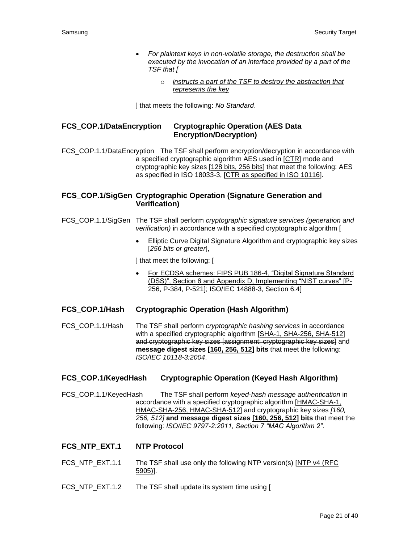- *For plaintext keys in non-volatile storage, the destruction shall be executed by the invocation of an interface provided by a part of the TSF that [*
	- o *instructs a part of the TSF to destroy the abstraction that represents the key*

] that meets the following: *No Standard*.

#### **FCS\_COP.1/DataEncryption Cryptographic Operation (AES Data Encryption/Decryption)**

FCS COP.1.1/DataEncryption The TSF shall perform encryption/decryption in accordance with a specified cryptographic algorithm AES used in [CTR] mode and cryptographic key sizes [128 bits, 256 bits] that meet the following: AES as specified in ISO 18033-3, [CTR as specified in ISO 10116].

#### **FCS\_COP.1/SigGen Cryptographic Operation (Signature Generation and Verification)**

FCS\_COP.1.1/SigGen The TSF shall perform *cryptographic signature services (generation and verification)* in accordance with a specified cryptographic algorithm [

> **Elliptic Curve Digital Signature Algorithm and cryptographic key sizes** [*256 bits or greater*],

] that meet the following: [

- For ECDSA schemes: FIPS PUB 186-4, "Digital Signature Standard (DSS)", Section 6 and Appendix D, Implementing "NIST curves" [P-256, P-384, P-521]; ISO/IEC 14888-3, Section 6.4]
- **FCS\_COP.1/Hash Cryptographic Operation (Hash Algorithm)**

FCS\_COP.1.1/Hash The TSF shall perform *cryptographic hashing services* in accordance with a specified cryptographic algorithm [SHA-1, SHA-256, SHA-512] and cryptographic key sizes [assignment: cryptographic key sizes] and **message digest sizes [160, 256, 512] bits** that meet the following: *ISO/IEC 10118-3:2004*.

#### **FCS\_COP.1/KeyedHash Cryptographic Operation (Keyed Hash Algorithm)**

FCS\_COP.1.1/KeyedHash The TSF shall perform *keyed-hash message authentication* in accordance with a specified cryptographic algorithm [HMAC-SHA-1, HMAC-SHA-256, HMAC-SHA-512] and cryptographic key sizes *[160, 256, 512]* **and message digest sizes [160, 256, 512] bits** that meet the following: *ISO/IEC 9797-2:2011, Section 7 "MAC Algorithm 2"*.

#### **FCS\_NTP\_EXT.1 NTP Protocol**

- FCS\_NTP\_EXT.1.1 The TSF shall use only the following NTP version(s) [NTP v4 (RFC 5905)].
- FCS NTP EXT.1.2 The TSF shall update its system time using [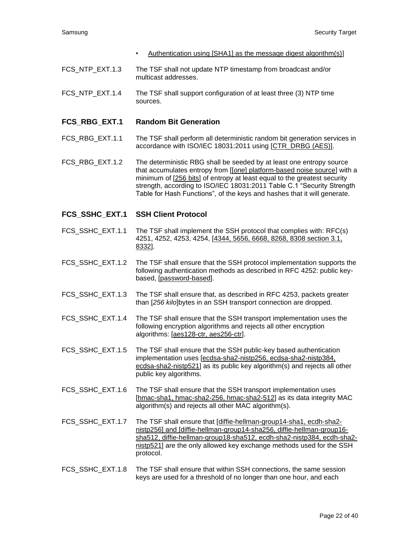- Authentication using [SHA1] as the message digest algorithm(s)]
- FCS NTP EXT.1.3 The TSF shall not update NTP timestamp from broadcast and/or multicast addresses.
- FCS\_NTP\_EXT.1.4 The TSF shall support configuration of at least three (3) NTP time sources.

#### **FCS\_RBG\_EXT.1 Random Bit Generation**

- FCS\_RBG\_EXT.1.1 The TSF shall perform all deterministic random bit generation services in accordance with ISO/IEC 18031:2011 using [CTR\_DRBG (AES)].
- FCS\_RBG\_EXT.1.2 The deterministic RBG shall be seeded by at least one entropy source that accumulates entropy from [[*one*] platform-based noise source] with a minimum of [256 bits] of entropy at least equal to the greatest security strength, according to ISO/IEC 18031:2011 Table C.1 "Security Strength Table for Hash Functions", of the keys and hashes that it will generate.

#### **FCS\_SSHC\_EXT.1 SSH Client Protocol**

- FCS SSHC EXT.1.1 The TSF shall implement the SSH protocol that complies with: RFC(s) 4251, 4252, 4253, 4254, [4344, 5656, 6668, 8268, 8308 section 3.1, 8332].
- FCS\_SSHC\_EXT.1.2 The TSF shall ensure that the SSH protocol implementation supports the following authentication methods as described in RFC 4252: public keybased, [password-based].
- FCS SSHC EXT.1.3 The TSF shall ensure that, as described in RFC 4253, packets greater than [*256 kilo*]bytes in an SSH transport connection are dropped.
- FCS SSHC EXT.1.4 The TSF shall ensure that the SSH transport implementation uses the following encryption algorithms and rejects all other encryption algorithms: [aes128-ctr, aes256-ctr].
- FCS SSHC EXT.1.5 The TSF shall ensure that the SSH public-key based authentication implementation uses [ecdsa-sha2-nistp256, ecdsa-sha2-nistp384, ecdsa-sha2-nistp521] as its public key algorithm(s) and rejects all other public key algorithms.
- FCS SSHC EXT.1.6 The TSF shall ensure that the SSH transport implementation uses [hmac-sha1, hmac-sha2-256, hmac-sha2-512] as its data integrity MAC algorithm(s) and rejects all other MAC algorithm(s).
- FCS\_SSHC\_EXT.1.7 The TSF shall ensure that [diffie-hellman-group14-sha1, ecdh-sha2 nistp256] and [diffie-hellman-group14-sha256, diffie-hellman-group16 sha512, diffie-hellman-group18-sha512, ecdh-sha2-nistp384, ecdh-sha2 nistp521] are the only allowed key exchange methods used for the SSH protocol.
- FCS SSHC EXT.1.8 The TSF shall ensure that within SSH connections, the same session keys are used for a threshold of no longer than one hour, and each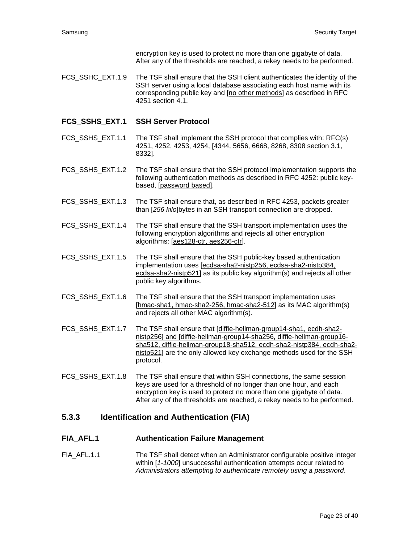encryption key is used to protect no more than one gigabyte of data. After any of the thresholds are reached, a rekey needs to be performed.

FCS SSHC EXT.1.9 The TSF shall ensure that the SSH client authenticates the identity of the SSH server using a local database associating each host name with its corresponding public key and [no other methods] as described in RFC 4251 section 4.1.

#### **FCS\_SSHS\_EXT.1 SSH Server Protocol**

- FCS\_SSHS\_EXT.1.1 The TSF shall implement the SSH protocol that complies with: RFC(s) 4251, 4252, 4253, 4254, [4344, 5656, 6668, 8268, 8308 section 3.1, 8332].
- FCS\_SSHS\_EXT.1.2 The TSF shall ensure that the SSH protocol implementation supports the following authentication methods as described in RFC 4252: public keybased, [password based].
- FCS\_SSHS\_EXT.1.3 The TSF shall ensure that, as described in RFC 4253, packets greater than [*256 kilo*]bytes in an SSH transport connection are dropped.
- FCS SSHS EXT.1.4 The TSF shall ensure that the SSH transport implementation uses the following encryption algorithms and rejects all other encryption algorithms: [aes128-ctr, aes256-ctr].
- FCS SSHS EXT.1.5 The TSF shall ensure that the SSH public-key based authentication implementation uses [ecdsa-sha2-nistp256, ecdsa-sha2-nistp384, ecdsa-sha2-nistp521] as its public key algorithm(s) and rejects all other public key algorithms.
- FCS\_SSHS\_EXT.1.6 The TSF shall ensure that the SSH transport implementation uses [hmac-sha1, hmac-sha2-256, hmac-sha2-512] as its MAC algorithm(s) and rejects all other MAC algorithm(s).
- FCS SSHS EXT.1.7 The TSF shall ensure that [diffie-hellman-group14-sha1, ecdh-sha2nistp256] and [diffie-hellman-group14-sha256, diffie-hellman-group16 sha512, diffie-hellman-group18-sha512, ecdh-sha2-nistp384, ecdh-sha2 nistp521] are the only allowed key exchange methods used for the SSH protocol.
- FCS\_SSHS\_EXT.1.8 The TSF shall ensure that within SSH connections, the same session keys are used for a threshold of no longer than one hour, and each encryption key is used to protect no more than one gigabyte of data. After any of the thresholds are reached, a rekey needs to be performed.

#### **5.3.3 Identification and Authentication (FIA)**

#### **FIA\_AFL.1 Authentication Failure Management**

FIA\_AFL.1.1 The TSF shall detect when an Administrator configurable positive integer within [*1-1000*] unsuccessful authentication attempts occur related to *Administrators attempting to authenticate remotely using a password*.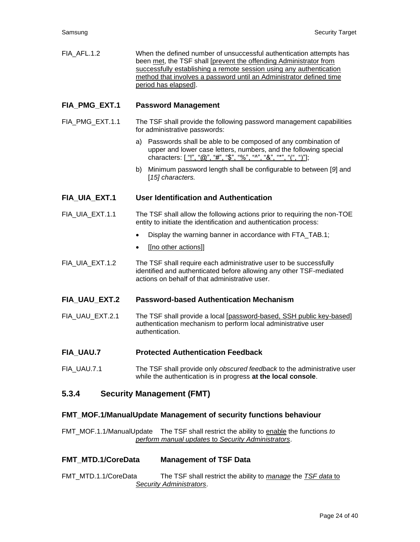| FIA AFL.1.2 | When the defined number of unsuccessful authentication attempts has |
|-------------|---------------------------------------------------------------------|
|             | been met, the TSF shall (prevent the offending Administrator from   |
|             | successfully establishing a remote session using any authentication |
|             | method that involves a password until an Administrator defined time |
|             | period has elapsed].                                                |

#### **FIA\_PMG\_EXT.1 Password Management**

- FIA PMG EXT.1.1 The TSF shall provide the following password management capabilities for administrative passwords:
	- a) Passwords shall be able to be composed of any combination of upper and lower case letters, numbers, and the following special characters: ["!", "@", "#", "\$", "%", "^", "&", "\*", "(", ")"];
	- b) Minimum password length shall be configurable to between [*9*] and [*15] characters.*

#### **FIA\_UIA\_EXT.1 User Identification and Authentication**

- FIA\_UIA\_EXT.1.1 The TSF shall allow the following actions prior to requiring the non-TOE entity to initiate the identification and authentication process:
	- Display the warning banner in accordance with FTA\_TAB.1;
	- [[no other actions]]
- FIA\_UIA\_EXT.1.2 The TSF shall require each administrative user to be successfully identified and authenticated before allowing any other TSF-mediated actions on behalf of that administrative user.

#### **FIA\_UAU\_EXT.2 Password-based Authentication Mechanism**

- FIA\_UAU\_EXT.2.1 The TSF shall provide a local [password-based, SSH public key-based] authentication mechanism to perform local administrative user authentication.
- **FIA\_UAU.7 Protected Authentication Feedback**
- FIA\_UAU.7.1 The TSF shall provide only *obscured feedback* to the administrative user while the authentication is in progress **at the local console**.

#### **5.3.4 Security Management (FMT)**

#### **FMT\_MOF.1/ManualUpdate Management of security functions behaviour**

FMT\_MOF.1.1/ManualUpdate The TSF shall restrict the ability to enable the functions *to perform manual updates* to *Security Administrators*.

#### **FMT\_MTD.1/CoreData Management of TSF Data**

FMT\_MTD.1.1/CoreData The TSF shall restrict the ability to *manage* the *TSF data* to *Security Administrators*.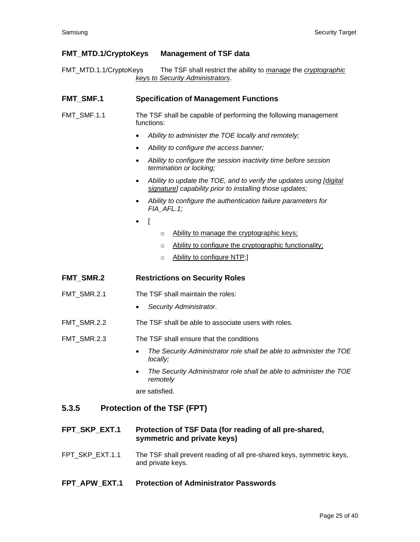#### **FMT\_MTD.1/CryptoKeys Management of TSF data**

FMT\_MTD.1.1/CryptoKeys The TSF shall restrict the ability to *manage* the *cryptographic keys to Security Administrators*.

#### **FMT** SMF.1 Specification of Management Functions

- FMT\_SMF.1.1 The TSF shall be capable of performing the following management functions:
	- *Ability to administer the TOE locally and remotely;*
	- *Ability to configure the access banner;*
	- *Ability to configure the session inactivity time before session termination or locking;*
	- *Ability to update the TOE, and to verify the updates using [digital signature] capability prior to installing those updates;*
	- *Ability to configure the authentication failure parameters for FIA\_AFL.1;*
	- [
- o Ability to manage the cryptographic keys;
- o Ability to configure the cryptographic functionality;
- o Ability to configure NTP;

#### **FMT\_SMR.2 Restrictions on Security Roles**

- FMT\_SMR.2.1 The TSF shall maintain the roles:
	- *Security Administrator*.
- FMT\_SMR.2.2 The TSF shall be able to associate users with roles.
- FMT\_SMR.2.3 The TSF shall ensure that the conditions
	- *The Security Administrator role shall be able to administer the TOE locally;*
	- *The Security Administrator role shall be able to administer the TOE remotely*

are satisfied.

#### **5.3.5 Protection of the TSF (FPT)**

- **FPT\_SKP\_EXT.1 Protection of TSF Data (for reading of all pre-shared, symmetric and private keys)**
- FPT\_SKP\_EXT.1.1 The TSF shall prevent reading of all pre-shared keys, symmetric keys, and private keys.

#### **FPT\_APW\_EXT.1 Protection of Administrator Passwords**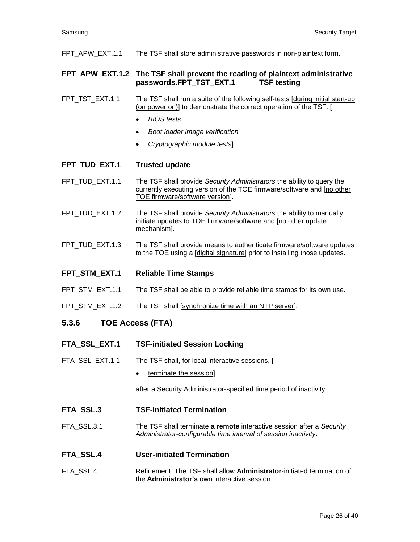FPT\_APW\_EXT.1.1 The TSF shall store administrative passwords in non-plaintext form.

#### **FPT\_APW\_EXT.1.2 The TSF shall prevent the reading of plaintext administrative passwords.FPT\_TST\_EXT.1 TSF testing**

- FPT TST EXT.1.1 The TSF shall run a suite of the following self-tests [during initial start-up (on power on)] to demonstrate the correct operation of the TSF: [
	- *BIOS tests*
	- *Boot loader image verification*
	- *Cryptographic module tests*].
- **FPT\_TUD\_EXT.1 Trusted update**
- FPT\_TUD\_EXT.1.1 The TSF shall provide *Security Administrators* the ability to query the currently executing version of the TOE firmware/software and [no other TOE firmware/software version].
- FPT\_TUD\_EXT.1.2 The TSF shall provide *Security Administrators* the ability to manually initiate updates to TOE firmware/software and [no other update mechanism].
- FPT\_TUD\_EXT.1.3 The TSF shall provide means to authenticate firmware/software updates to the TOE using a [digital signature] prior to installing those updates.
- **FPT\_STM\_EXT.1 Reliable Time Stamps**
- FPT\_STM\_EXT.1.1 The TSF shall be able to provide reliable time stamps for its own use.
- FPT\_STM\_EXT.1.2 The TSF shall [synchronize time with an NTP server].

#### **5.3.6 TOE Access (FTA)**

- **FTA\_SSL\_EXT.1 TSF-initiated Session Locking**
- FTA\_SSL\_EXT.1.1 The TSF shall, for local interactive sessions, [
	- terminate the session]

after a Security Administrator-specified time period of inactivity.

- **FTA\_SSL.3 TSF-initiated Termination**
- FTA\_SSL.3.1 The TSF shall terminate **a remote** interactive session after a *Security Administrator-configurable time interval of session inactivity*.
- **FTA\_SSL.4 User-initiated Termination**
- FTA\_SSL.4.1 Refinement: The TSF shall allow **Administrator**-initiated termination of the **Administrator's** own interactive session.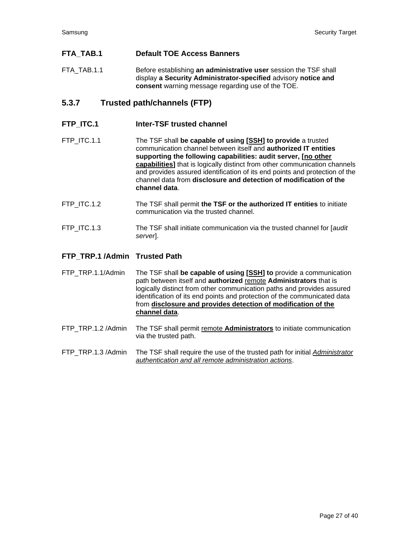### **FTA\_TAB.1 Default TOE Access Banners**

FTA\_TAB.1.1 Before establishing **an administrative user** session the TSF shall display **a Security Administrator-specified** advisory **notice and consent** warning message regarding use of the TOE.

# **5.3.7 Trusted path/channels (FTP)**

#### **FTP\_ITC.1 Inter-TSF trusted channel**

- FTP\_ITC.1.1 The TSF shall **be capable of using [SSH] to provide** a trusted communication channel between itself and **authorized IT entities supporting the following capabilities: audit server, [no other capabilities]** that is logically distinct from other communication channels and provides assured identification of its end points and protection of the channel data from **disclosure and detection of modification of the channel data**.
- FTP\_ITC.1.2 The TSF shall permit **the TSF or the authorized IT entities** to initiate communication via the trusted channel.
- FTP\_ITC.1.3 The TSF shall initiate communication via the trusted channel for [*audit server*].

#### **FTP\_TRP.1 /Admin Trusted Path**

FTP\_TRP.1.1/Admin The TSF shall **be capable of using [SSH] to** provide a communication path between itself and **authorized** remote **Administrators** that is logically distinct from other communication paths and provides assured identification of its end points and protection of the communicated data from **disclosure and provides detection of modification of the channel data**.

- FTP\_TRP.1.2 /Admin The TSF shall permit remote **Administrators** to initiate communication via the trusted path.
- FTP\_TRP.1.3 /Admin The TSF shall require the use of the trusted path for initial *Administrator authentication and all remote administration actions*.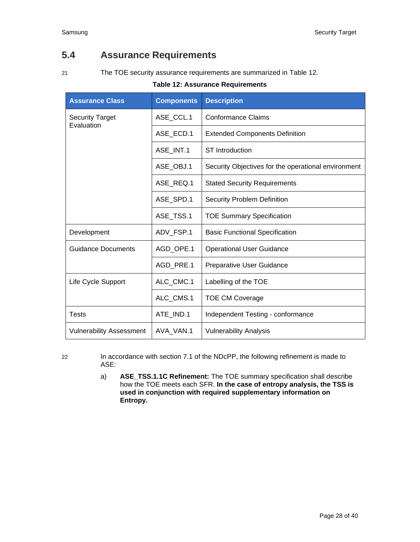# <span id="page-27-0"></span>**5.4 Assurance Requirements**

<span id="page-27-1"></span>

21 The TOE security assurance requirements are summarized in [Table 12.](#page-27-1)

#### **Table 12: Assurance Requirements**

| <b>Assurance Class</b>               | <b>Components</b> | <b>Description</b>                                  |  |
|--------------------------------------|-------------------|-----------------------------------------------------|--|
| <b>Security Target</b><br>Evaluation | ASE_CCL.1         | <b>Conformance Claims</b>                           |  |
|                                      | ASE ECD.1         | <b>Extended Components Definition</b>               |  |
|                                      | ASE INT.1         | <b>ST</b> Introduction                              |  |
|                                      | ASE_OBJ.1         | Security Objectives for the operational environment |  |
|                                      | ASE REQ.1         | <b>Stated Security Requirements</b>                 |  |
|                                      | ASE SPD.1         | <b>Security Problem Definition</b>                  |  |
|                                      | ASE TSS.1         | <b>TOE Summary Specification</b>                    |  |
| Development                          | ADV_FSP.1         | <b>Basic Functional Specification</b>               |  |
| <b>Guidance Documents</b>            | AGD OPE.1         | <b>Operational User Guidance</b>                    |  |
|                                      | AGD_PRE.1         | Preparative User Guidance                           |  |
| Life Cycle Support                   | ALC CMC.1         | Labelling of the TOE                                |  |
|                                      | ALC_CMS.1         | <b>TOE CM Coverage</b>                              |  |
| Tests                                | ATE IND.1         | Independent Testing - conformance                   |  |
| <b>Vulnerability Assessment</b>      | AVA_VAN.1         | <b>Vulnerability Analysis</b>                       |  |

22 In accordance with section 7.1 of the NDcPP, the following refinement is made to ASE:

> a) **ASE\_TSS.1.1C Refinement:** The TOE summary specification shall describe how the TOE meets each SFR. **In the case of entropy analysis, the TSS is used in conjunction with required supplementary information on Entropy.**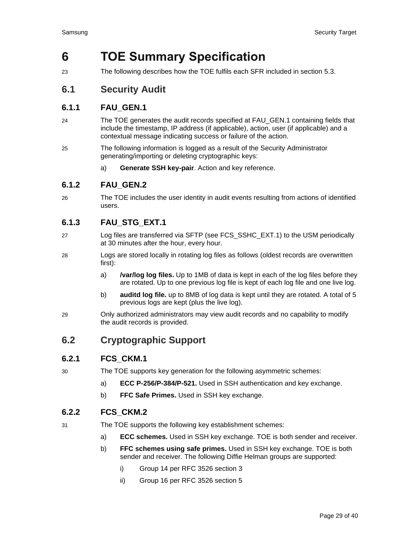# <span id="page-28-0"></span>**6 TOE Summary Specification**

23 The following describes how the TOE fulfils each SFR included in section [5.3.](#page-14-3)

# <span id="page-28-1"></span>**6.1 Security Audit**

# **6.1.1 FAU\_GEN.1**

- 24 The TOE generates the audit records specified at FAU\_GEN.1 containing fields that include the timestamp, IP address (if applicable), action, user (if applicable) and a contextual message indicating success or failure of the action.
- 25 The following information is logged as a result of the Security Administrator generating/importing or deleting cryptographic keys:
	- a) **Generate SSH key-pair**. Action and key reference.

# **6.1.2 FAU\_GEN.2**

26 The TOE includes the user identity in audit events resulting from actions of identified users.

# **6.1.3 FAU\_STG\_EXT.1**

- 27 Log files are transferred via SFTP (see FCS\_SSHC\_EXT.1) to the USM periodically at 30 minutes after the hour, every hour.
- 28 Logs are stored locally in rotating log files as follows (oldest records are overwritten first):
	- a) **/var/log log files.** Up to 1MB of data is kept in each of the log files before they are rotated. Up to one previous log file is kept of each log file and one live log.
	- b) **auditd log file.** up to 8MB of log data is kept until they are rotated. A total of 5 previous logs are kept (plus the live log).
- 29 Only authorized administrators may view audit records and no capability to modify the audit records is provided.

# <span id="page-28-2"></span>**6.2 Cryptographic Support**

# **6.2.1 FCS\_CKM.1**

- 30 The TOE supports key generation for the following asymmetric schemes:
	- a) **ECC P-256/P-384/P-521.** Used in SSH authentication and key exchange.
	- b) **FFC Safe Primes.** Used in SSH key exchange.

# **6.2.2 FCS\_CKM.2**

- 31 The TOE supports the following key establishment schemes:
	- a) **ECC schemes.** Used in SSH key exchange. TOE is both sender and receiver.
	- b) **FFC schemes using safe primes.** Used in SSH key exchange. TOE is both sender and receiver. The following Diffie Helman groups are supported:
		- i) Group 14 per RFC 3526 section 3
		- ii) Group 16 per RFC 3526 section 5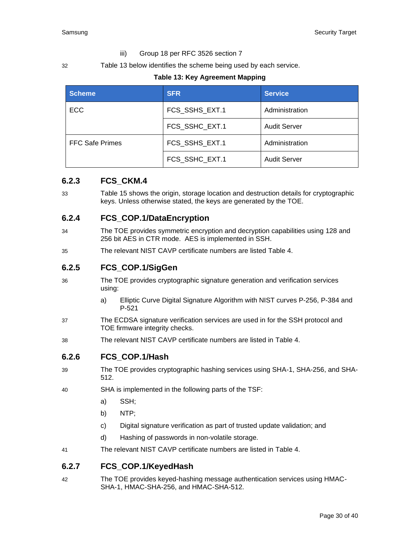#### iii) Group 18 per RFC 3526 section 7

<span id="page-29-0"></span>32 [Table 13](#page-29-0) below identifies the scheme being used by each service.

#### **Table 13: Key Agreement Mapping**

| <b>Scheme</b>          | <b>SFR</b><br><b>Service</b>     |                     |
|------------------------|----------------------------------|---------------------|
| <b>ECC</b>             | FCS_SSHS_EXT.1                   | Administration      |
|                        | FCS SSHC EXT.1                   | <b>Audit Server</b> |
| <b>FFC Safe Primes</b> | FCS SSHS EXT.1<br>Administration |                     |
|                        | FCS SSHC EXT.1                   | <b>Audit Server</b> |

#### **6.2.3 FCS\_CKM.4**

33 [Table 15](#page-33-1) shows the origin, storage location and destruction details for cryptographic keys. Unless otherwise stated, the keys are generated by the TOE.

#### **6.2.4 FCS\_COP.1/DataEncryption**

- 34 The TOE provides symmetric encryption and decryption capabilities using 128 and 256 bit AES in CTR mode. AES is implemented in SSH.
- 35 The relevant NIST CAVP certificate numbers are listed [Table 4.](#page-8-1)

### **6.2.5 FCS\_COP.1/SigGen**

- 36 The TOE provides cryptographic signature generation and verification services using:
	- a) Elliptic Curve Digital Signature Algorithm with NIST curves P-256, P-384 and P-521
- 37 The ECDSA signature verification services are used in for the SSH protocol and TOE firmware integrity checks.
- 38 The relevant NIST CAVP certificate numbers are listed in [Table 4.](#page-8-1)

#### **6.2.6 FCS\_COP.1/Hash**

- 39 The TOE provides cryptographic hashing services using SHA-1, SHA-256, and SHA-512.
- 40 SHA is implemented in the following parts of the TSF:
	- a) SSH;
	- b) NTP;
	- c) Digital signature verification as part of trusted update validation; and
	- d) Hashing of passwords in non-volatile storage.
- 41 The relevant NIST CAVP certificate numbers are listed in [Table 4.](#page-8-1)

#### **6.2.7 FCS\_COP.1/KeyedHash**

42 The TOE provides keyed-hashing message authentication services using HMAC-SHA-1, HMAC-SHA-256, and HMAC-SHA-512.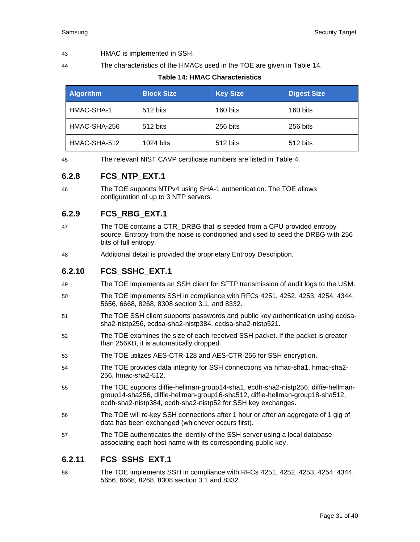#### 43 HMAC is implemented in SSH.

<span id="page-30-0"></span>

44 The characteristics of the HMACs used in the TOE are given in [Table 14.](#page-30-0)

**Table 14: HMAC Characteristics**

| <b>Algorithm</b> | <b>Block Size</b> | <b>Key Size</b> | <b>Digest Size</b> |
|------------------|-------------------|-----------------|--------------------|
| HMAC-SHA-1       | 512 bits          | 160 bits        | 160 bits           |
| HMAC-SHA-256     | 512 bits          | 256 bits        | 256 bits           |
| HMAC-SHA-512     | 1024 bits         | 512 bits        | 512 bits           |

45 The relevant NIST CAVP certificate numbers are listed in [Table 4.](#page-8-1)

# **6.2.8 FCS\_NTP\_EXT.1**

46 The TOE supports NTPv4 using SHA-1 authentication. The TOE allows configuration of up to 3 NTP servers.

# **6.2.9 FCS\_RBG\_EXT.1**

- 47 The TOE contains a CTR\_DRBG that is seeded from a CPU provided entropy source. Entropy from the noise is conditioned and used to seed the DRBG with 256 bits of full entropy.
- 48 Additional detail is provided the proprietary Entropy Description.

# **6.2.10 FCS\_SSHC\_EXT.1**

- 49 The TOE implements an SSH client for SFTP transmission of audit logs to the USM.
- 50 The TOE implements SSH in compliance with RFCs 4251, 4252, 4253, 4254, 4344, 5656, 6668, 8268, 8308 section 3.1, and 8332.
- 51 The TOE SSH client supports passwords and public key authentication using ecdsasha2-nistp256, ecdsa-sha2-nistp384, ecdsa-sha2-nistp521.
- 52 The TOE examines the size of each received SSH packet. If the packet is greater than 256KB, it is automatically dropped.
- 53 The TOE utilizes AES-CTR-128 and AES-CTR-256 for SSH encryption.
- 54 The TOE provides data integrity for SSH connections via hmac-sha1, hmac-sha2- 256, hmac-sha2-512.
- 55 The TOE supports diffie-hellman-group14-sha1, ecdh-sha2-nistp256, diffie-hellmangroup14-sha256, diffie-hellman-group16-sha512, diffie-hellman-group18-sha512, ecdh-sha2-nistp384, ecdh-sha2-nistp52 for SSH key exchanges.
- 56 The TOE will re-key SSH connections after 1 hour or after an aggregate of 1 gig of data has been exchanged (whichever occurs first).
- 57 The TOE authenticates the identity of the SSH server using a local database associating each host name with its corresponding public key.

# **6.2.11 FCS\_SSHS\_EXT.1**

58 The TOE implements SSH in compliance with RFCs 4251, 4252, 4253, 4254, 4344, 5656, 6668, 8268, 8308 section 3.1 and 8332.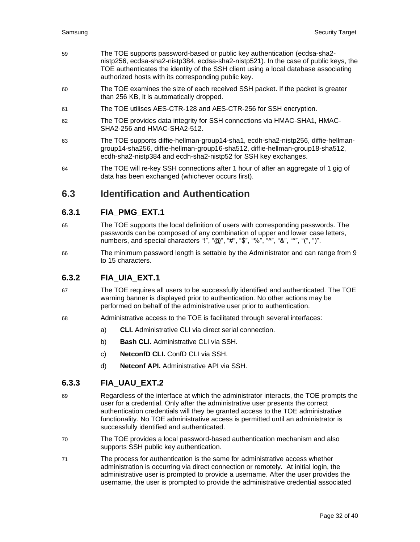- 59 The TOE supports password-based or public key authentication (ecdsa-sha2 nistp256, ecdsa-sha2-nistp384, ecdsa-sha2-nistp521). In the case of public keys, the TOE authenticates the identity of the SSH client using a local database associating authorized hosts with its corresponding public key.
- 60 The TOE examines the size of each received SSH packet. If the packet is greater than 256 KB, it is automatically dropped.
- 61 The TOE utilises AES-CTR-128 and AES-CTR-256 for SSH encryption.
- 62 The TOE provides data integrity for SSH connections via HMAC-SHA1, HMAC-SHA2-256 and HMAC-SHA2-512.
- 63 The TOE supports diffie-hellman-group14-sha1, ecdh-sha2-nistp256, diffie-hellmangroup14-sha256, diffie-hellman-group16-sha512, diffie-hellman-group18-sha512, ecdh-sha2-nistp384 and ecdh-sha2-nistp52 for SSH key exchanges.
- 64 The TOE will re-key SSH connections after 1 hour of after an aggregate of 1 gig of data has been exchanged (whichever occurs first).

# <span id="page-31-0"></span>**6.3 Identification and Authentication**

### **6.3.1 FIA\_PMG\_EXT.1**

- 65 The TOE supports the local definition of users with corresponding passwords. The passwords can be composed of any combination of upper and lower case letters, numbers, and special characters "!", " $@$ ", "#", "\$", "%", "^", "&", "\*", "(", ")".
- 66 The minimum password length is settable by the Administrator and can range from 9 to 15 characters.

# **6.3.2 FIA\_UIA\_EXT.1**

- 67 The TOE requires all users to be successfully identified and authenticated. The TOE warning banner is displayed prior to authentication. No other actions may be performed on behalf of the administrative user prior to authentication.
- 68 Administrative access to the TOE is facilitated through several interfaces:
	- a) **CLI.** Administrative CLI via direct serial connection.
	- b) **Bash CLI.** Administrative CLI via SSH.
	- c) **NetconfD CLI.** ConfD CLI via SSH.
	- d) **Netconf API.** Administrative API via SSH.

#### **6.3.3 FIA\_UAU\_EXT.2**

- 69 Regardless of the interface at which the administrator interacts, the TOE prompts the user for a credential. Only after the administrative user presents the correct authentication credentials will they be granted access to the TOE administrative functionality. No TOE administrative access is permitted until an administrator is successfully identified and authenticated.
- 70 The TOE provides a local password-based authentication mechanism and also supports SSH public key authentication.
- 71 The process for authentication is the same for administrative access whether administration is occurring via direct connection or remotely. At initial login, the administrative user is prompted to provide a username. After the user provides the username, the user is prompted to provide the administrative credential associated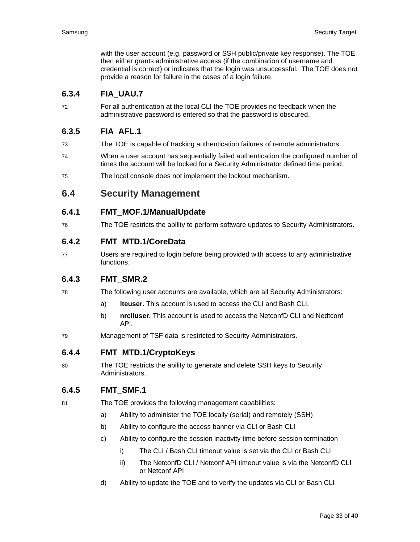with the user account (e.g. password or SSH public/private key response). The TOE then either grants administrative access (if the combination of username and credential is correct) or indicates that the login was unsuccessful. The TOE does not provide a reason for failure in the cases of a login failure.

# **6.3.4 FIA\_UAU.7**

72 For all authentication at the local CLI the TOE provides no feedback when the administrative password is entered so that the password is obscured.

# **6.3.5 FIA\_AFL.1**

- 73 The TOE is capable of tracking authentication failures of remote administrators.
- 74 When a user account has sequentially failed authentication the configured number of times the account will be locked for a Security Administrator defined time period.
- 75 The local console does not implement the lockout mechanism.

<span id="page-32-0"></span>**6.4 Security Management**

### **6.4.1 FMT\_MOF.1/ManualUpdate**

76 The TOE restricts the ability to perform software updates to Security Administrators.

#### **6.4.2 FMT\_MTD.1/CoreData**

77 Users are required to login before being provided with access to any administrative functions.

# **6.4.3 FMT\_SMR.2**

- 78 The following user accounts are available, which are all Security Administrators:
	- a) **lteuser.** This account is used to access the CLI and Bash CLI.
	- b) **nrcliuser.** This account is used to access the NetconfD CLI and Nedtconf API.
- 79 Management of TSF data is restricted to Security Administrators.

#### **6.4.4 FMT\_MTD.1/CryptoKeys**

80 The TOE restricts the ability to generate and delete SSH keys to Security Administrators.

# **6.4.5 FMT\_SMF.1**

- 81 The TOE provides the following management capabilities:
	- a) Ability to administer the TOE locally (serial) and remotely (SSH)
	- b) Ability to configure the access banner via CLI or Bash CLI
	- c) Ability to configure the session inactivity time before session termination
		- i) The CLI / Bash CLI timeout value is set via the CLI or Bash CLI
		- ii) The NetconfD CLI / Netconf API timeout value is via the NetconfD CLI or Netconf API
	- d) Ability to update the TOE and to verify the updates via CLI or Bash CLI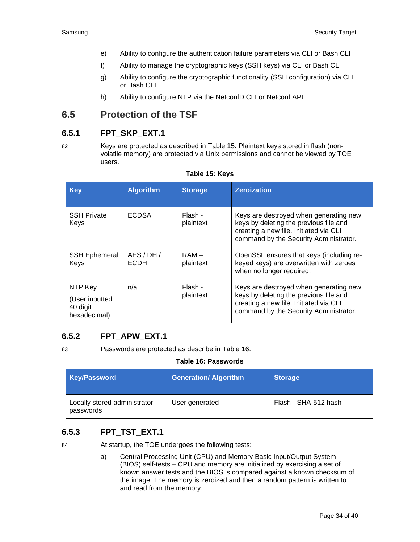- e) Ability to configure the authentication failure parameters via CLI or Bash CLI
- f) Ability to manage the cryptographic keys (SSH keys) via CLI or Bash CLI
- g) Ability to configure the cryptographic functionality (SSH configuration) via CLI or Bash CLI
- h) Ability to configure NTP via the NetconfD CLI or Netconf API

# <span id="page-33-0"></span>**6.5 Protection of the TSF**

### **6.5.1 FPT\_SKP\_EXT.1**

82 Keys are protected as described in [Table 15.](#page-33-1) Plaintext keys stored in flash (nonvolatile memory) are protected via Unix permissions and cannot be viewed by TOE users.

<span id="page-33-1"></span>

| <b>Key</b>                                            | <b>Algorithm</b>       | <b>Storage</b>       | <b>Zeroization</b>                                                                                                                                                   |
|-------------------------------------------------------|------------------------|----------------------|----------------------------------------------------------------------------------------------------------------------------------------------------------------------|
| <b>SSH Private</b><br>Keys                            | <b>ECDSA</b>           | Flash -<br>plaintext | Keys are destroyed when generating new<br>keys by deleting the previous file and<br>creating a new file. Initiated via CLI<br>command by the Security Administrator. |
| <b>SSH Ephemeral</b><br>Keys                          | AES/DH/<br><b>ECDH</b> | $RAM -$<br>plaintext | OpenSSL ensures that keys (including re-<br>keyed keys) are overwritten with zeroes<br>when no longer required.                                                      |
| NTP Key<br>(User inputted<br>40 digit<br>hexadecimal) | n/a                    | Flash -<br>plaintext | Keys are destroyed when generating new<br>keys by deleting the previous file and<br>creating a new file. Initiated via CLI<br>command by the Security Administrator. |

#### **Table 15: Keys**

# **6.5.2 FPT\_APW\_EXT.1**

<span id="page-33-2"></span>83 Passwords are protected as describe in [Table 16.](#page-33-2)

#### **Table 16: Passwords**

| <b>Key/Password</b>                       | <b>Generation/ Algorithm</b> | <b>Storage</b>       |
|-------------------------------------------|------------------------------|----------------------|
| Locally stored administrator<br>passwords | User generated               | Flash - SHA-512 hash |

# **6.5.3 FPT\_TST\_EXT.1**

84 At startup, the TOE undergoes the following tests:

a) Central Processing Unit (CPU) and Memory Basic Input/Output System (BIOS) self-tests – CPU and memory are initialized by exercising a set of known answer tests and the BIOS is compared against a known checksum of the image. The memory is zeroized and then a random pattern is written to and read from the memory.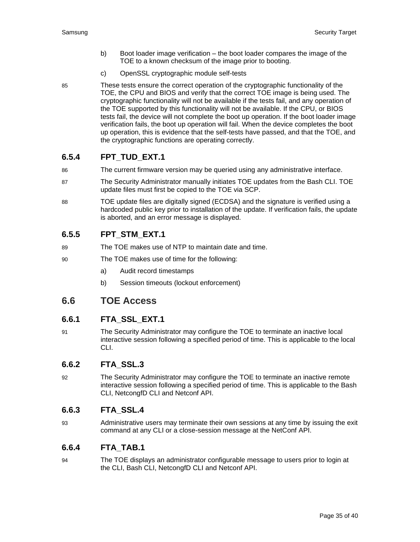- b) Boot loader image verification the boot loader compares the image of the TOE to a known checksum of the image prior to booting.
- c) OpenSSL cryptographic module self-tests
- 85 These tests ensure the correct operation of the cryptographic functionality of the TOE, the CPU and BIOS and verify that the correct TOE image is being used. The cryptographic functionality will not be available if the tests fail, and any operation of the TOE supported by this functionality will not be available. If the CPU, or BIOS tests fail, the device will not complete the boot up operation. If the boot loader image verification fails, the boot up operation will fail. When the device completes the boot up operation, this is evidence that the self-tests have passed, and that the TOE, and the cryptographic functions are operating correctly.

# **6.5.4 FPT\_TUD\_EXT.1**

- 86 The current firmware version may be queried using any administrative interface.
- 87 The Security Administrator manually initiates TOE updates from the Bash CLI. TOE update files must first be copied to the TOE via SCP.
- 88 TOE update files are digitally signed (ECDSA) and the signature is verified using a hardcoded public key prior to installation of the update. If verification fails, the update is aborted, and an error message is displayed.

# **6.5.5 FPT\_STM\_EXT.1**

- 89 The TOE makes use of NTP to maintain date and time.
- 90 The TOE makes use of time for the following:
	- a) Audit record timestamps
	- b) Session timeouts (lockout enforcement)

# <span id="page-34-0"></span>**6.6 TOE Access**

# **6.6.1 FTA\_SSL\_EXT.1**

91 The Security Administrator may configure the TOE to terminate an inactive local interactive session following a specified period of time. This is applicable to the local CLI.

# **6.6.2 FTA\_SSL.3**

92 The Security Administrator may configure the TOE to terminate an inactive remote interactive session following a specified period of time. This is applicable to the Bash CLI, NetcongfD CLI and Netconf API.

# **6.6.3 FTA\_SSL.4**

93 Administrative users may terminate their own sessions at any time by issuing the exit command at any CLI or a close-session message at the NetConf API.

# **6.6.4 FTA\_TAB.1**

94 The TOE displays an administrator configurable message to users prior to login at the CLI, Bash CLI, NetcongfD CLI and Netconf API.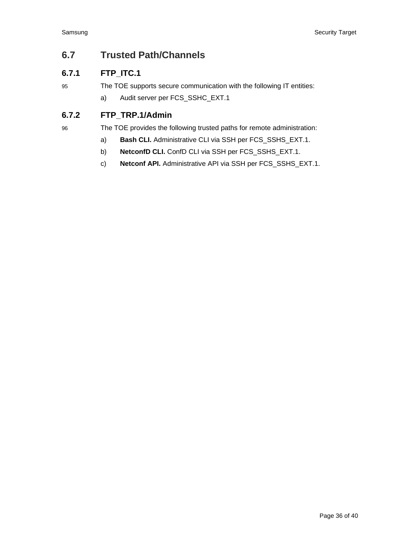# <span id="page-35-0"></span>**6.7 Trusted Path/Channels**

# **6.7.1 FTP\_ITC.1**

95 The TOE supports secure communication with the following IT entities:

a) Audit server per FCS\_SSHC\_EXT.1

# **6.7.2 FTP\_TRP.1/Admin**

96 The TOE provides the following trusted paths for remote administration:

- a) **Bash CLI.** Administrative CLI via SSH per FCS\_SSHS\_EXT.1.
- b) **NetconfD CLI.** ConfD CLI via SSH per FCS\_SSHS\_EXT.1.
- c) **Netconf API.** Administrative API via SSH per FCS\_SSHS\_EXT.1.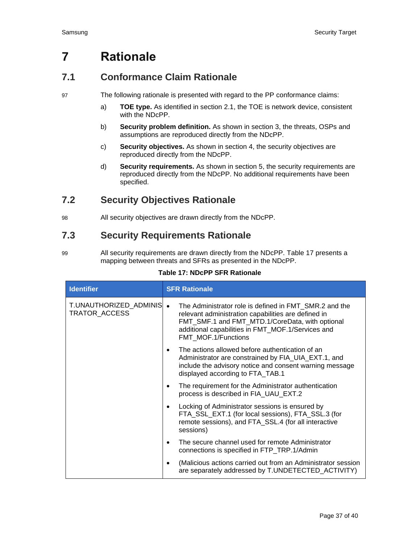# <span id="page-36-0"></span>**7 Rationale**

# <span id="page-36-1"></span>**7.1 Conformance Claim Rationale**

- 97 The following rationale is presented with regard to the PP conformance claims:
	- a) **TOE type.** As identified in section [2.1,](#page-6-1) the TOE is network device, consistent with the NDcPP.
	- b) **Security problem definition.** As shown in section [3,](#page-10-0) the threats, OSPs and assumptions are reproduced directly from the NDcPP.
	- c) **Security objectives.** As shown in section [4,](#page-13-0) the security objectives are reproduced directly from the NDcPP.
	- d) **Security requirements.** As shown in section [5,](#page-14-0) the security requirements are reproduced directly from the NDcPP. No additional requirements have been specified.

# <span id="page-36-2"></span>**7.2 Security Objectives Rationale**

98 All security objectives are drawn directly from the NDcPP.

# <span id="page-36-3"></span>**7.3 Security Requirements Rationale**

99 All security requirements are drawn directly from the NDcPP. [Table 17](#page-36-4) presents a mapping between threats and SFRs as presented in the NDcPP.

#### **Table 17: NDcPP SFR Rationale**

<span id="page-36-4"></span>

| <b>Identifier</b>                          | <b>SFR Rationale</b>                                                                                                                                                                                                                         |
|--------------------------------------------|----------------------------------------------------------------------------------------------------------------------------------------------------------------------------------------------------------------------------------------------|
| T.UNAUTHORIZED_ADMINIS  •<br>TRATOR_ACCESS | The Administrator role is defined in FMT_SMR.2 and the<br>relevant administration capabilities are defined in<br>FMT_SMF.1 and FMT_MTD.1/CoreData, with optional<br>additional capabilities in FMT_MOF.1/Services and<br>FMT MOF.1/Functions |
|                                            | The actions allowed before authentication of an<br>$\bullet$<br>Administrator are constrained by FIA_UIA_EXT.1, and<br>include the advisory notice and consent warning message<br>displayed according to FTA_TAB.1                           |
|                                            | The requirement for the Administrator authentication<br>٠<br>process is described in FIA UAU EXT.2                                                                                                                                           |
|                                            | Locking of Administrator sessions is ensured by<br>٠<br>FTA_SSL_EXT.1 (for local sessions), FTA_SSL.3 (for<br>remote sessions), and FTA_SSL.4 (for all interactive<br>sessions)                                                              |
|                                            | The secure channel used for remote Administrator<br>connections is specified in FTP_TRP.1/Admin                                                                                                                                              |
|                                            | (Malicious actions carried out from an Administrator session<br>are separately addressed by T.UNDETECTED_ACTIVITY)                                                                                                                           |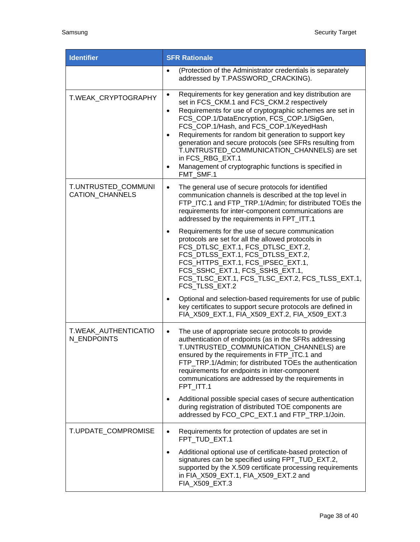| <b>Identifier</b>                      | <b>SFR Rationale</b>                                                                                                                                                                                                                                                                                                                                                                                                                                                                                                                                               |
|----------------------------------------|--------------------------------------------------------------------------------------------------------------------------------------------------------------------------------------------------------------------------------------------------------------------------------------------------------------------------------------------------------------------------------------------------------------------------------------------------------------------------------------------------------------------------------------------------------------------|
|                                        | (Protection of the Administrator credentials is separately<br>$\bullet$<br>addressed by T.PASSWORD_CRACKING).                                                                                                                                                                                                                                                                                                                                                                                                                                                      |
| T.WEAK_CRYPTOGRAPHY                    | Requirements for key generation and key distribution are<br>$\bullet$<br>set in FCS_CKM.1 and FCS_CKM.2 respectively<br>Requirements for use of cryptographic schemes are set in<br>$\bullet$<br>FCS_COP.1/DataEncryption, FCS_COP.1/SigGen,<br>FCS_COP.1/Hash, and FCS_COP.1/KeyedHash<br>Requirements for random bit generation to support key<br>$\bullet$<br>generation and secure protocols (see SFRs resulting from<br>T.UNTRUSTED_COMMUNICATION_CHANNELS) are set<br>in FCS_RBG_EXT.1<br>Management of cryptographic functions is specified in<br>FMT_SMF.1 |
| T.UNTRUSTED_COMMUNI<br>CATION_CHANNELS | The general use of secure protocols for identified<br>$\bullet$<br>communication channels is described at the top level in<br>FTP_ITC.1 and FTP_TRP.1/Admin; for distributed TOEs the<br>requirements for inter-component communications are<br>addressed by the requirements in FPT_ITT.1                                                                                                                                                                                                                                                                         |
|                                        | Requirements for the use of secure communication<br>$\bullet$<br>protocols are set for all the allowed protocols in<br>FCS_DTLSC_EXT.1, FCS_DTLSC_EXT.2,<br>FCS_DTLSS_EXT.1, FCS_DTLSS_EXT.2,<br>FCS_HTTPS_EXT.1, FCS_IPSEC_EXT.1,<br>FCS_SSHC_EXT.1, FCS_SSHS_EXT.1,<br>FCS_TLSC_EXT.1, FCS_TLSC_EXT.2, FCS_TLSS_EXT.1,<br>FCS_TLSS_EXT.2                                                                                                                                                                                                                         |
|                                        | Optional and selection-based requirements for use of public<br>$\bullet$<br>key certificates to support secure protocols are defined in<br>FIA_X509_EXT.1, FIA_X509_EXT.2, FIA_X509_EXT.3                                                                                                                                                                                                                                                                                                                                                                          |
| T.WEAK AUTHENTICATIO<br>N ENDPOINTS    | The use of appropriate secure protocols to provide<br>$\bullet$<br>authentication of endpoints (as in the SFRs addressing<br>T.UNTRUSTED_COMMUNICATION_CHANNELS) are<br>ensured by the requirements in FTP_ITC.1 and<br>FTP_TRP.1/Admin; for distributed TOEs the authentication<br>requirements for endpoints in inter-component<br>communications are addressed by the requirements in<br>FPT_ITT.1                                                                                                                                                              |
|                                        | Additional possible special cases of secure authentication<br>$\bullet$<br>during registration of distributed TOE components are<br>addressed by FCO_CPC_EXT.1 and FTP_TRP.1/Join.                                                                                                                                                                                                                                                                                                                                                                                 |
| T.UPDATE_COMPROMISE                    | Requirements for protection of updates are set in<br>$\bullet$<br>FPT TUD EXT.1<br>Additional optional use of certificate-based protection of<br>$\bullet$<br>signatures can be specified using FPT_TUD_EXT.2,<br>supported by the X.509 certificate processing requirements<br>in FIA_X509_EXT.1, FIA_X509_EXT.2 and<br>FIA_X509_EXT.3                                                                                                                                                                                                                            |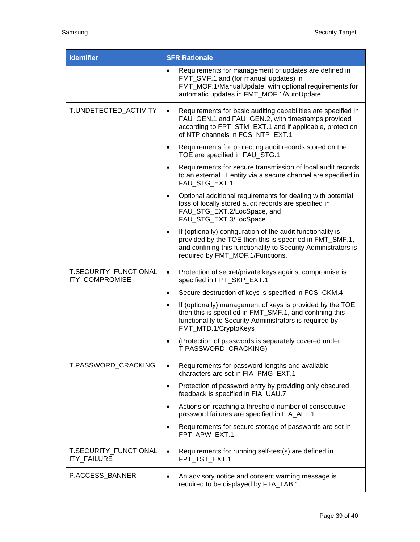| <b>Identifier</b>                       | <b>SFR Rationale</b>                                                                                                                                                                                                                       |
|-----------------------------------------|--------------------------------------------------------------------------------------------------------------------------------------------------------------------------------------------------------------------------------------------|
|                                         | Requirements for management of updates are defined in<br>$\bullet$<br>FMT_SMF.1 and (for manual updates) in<br>FMT_MOF.1/ManualUpdate, with optional requirements for<br>automatic updates in FMT_MOF.1/AutoUpdate                         |
| T.UNDETECTED_ACTIVITY                   | Requirements for basic auditing capabilities are specified in<br>$\bullet$<br>FAU_GEN.1 and FAU_GEN.2, with timestamps provided<br>according to FPT_STM_EXT.1 and if applicable, protection<br>of NTP channels in FCS_NTP_EXT.1            |
|                                         | Requirements for protecting audit records stored on the<br>$\bullet$<br>TOE are specified in FAU_STG.1                                                                                                                                     |
|                                         | Requirements for secure transmission of local audit records<br>$\bullet$<br>to an external IT entity via a secure channel are specified in<br>FAU_STG_EXT.1                                                                                |
|                                         | Optional additional requirements for dealing with potential<br>$\bullet$<br>loss of locally stored audit records are specified in<br>FAU STG EXT.2/LocSpace, and<br>FAU_STG_EXT.3/LocSpace                                                 |
|                                         | If (optionally) configuration of the audit functionality is<br>$\bullet$<br>provided by the TOE then this is specified in FMT_SMF.1,<br>and confining this functionality to Security Administrators is<br>required by FMT_MOF.1/Functions. |
| T.SECURITY_FUNCTIONAL<br>ITY_COMPROMISE | Protection of secret/private keys against compromise is<br>$\bullet$<br>specified in FPT_SKP_EXT.1                                                                                                                                         |
|                                         | Secure destruction of keys is specified in FCS_CKM.4<br>$\bullet$                                                                                                                                                                          |
|                                         | If (optionally) management of keys is provided by the TOE<br>$\bullet$<br>then this is specified in FMT_SMF.1, and confining this<br>functionality to Security Administrators is required by<br>FMT_MTD.1/CryptoKeys                       |
|                                         | (Protection of passwords is separately covered under<br>$\bullet$<br>T.PASSWORD_CRACKING)                                                                                                                                                  |
| T.PASSWORD_CRACKING                     | Requirements for password lengths and available<br>$\bullet$<br>characters are set in FIA PMG EXT.1                                                                                                                                        |
|                                         | Protection of password entry by providing only obscured<br>$\bullet$<br>feedback is specified in FIA_UAU.7                                                                                                                                 |
|                                         | Actions on reaching a threshold number of consecutive<br>$\bullet$<br>password failures are specified in FIA AFL.1                                                                                                                         |
|                                         | Requirements for secure storage of passwords are set in<br>$\bullet$<br>FPT_APW_EXT.1.                                                                                                                                                     |
| T.SECURITY_FUNCTIONAL<br>ITY_FAILURE    | Requirements for running self-test(s) are defined in<br>$\bullet$<br>FPT_TST_EXT.1                                                                                                                                                         |
| P.ACCESS_BANNER                         | An advisory notice and consent warning message is<br>$\bullet$<br>required to be displayed by FTA_TAB.1                                                                                                                                    |